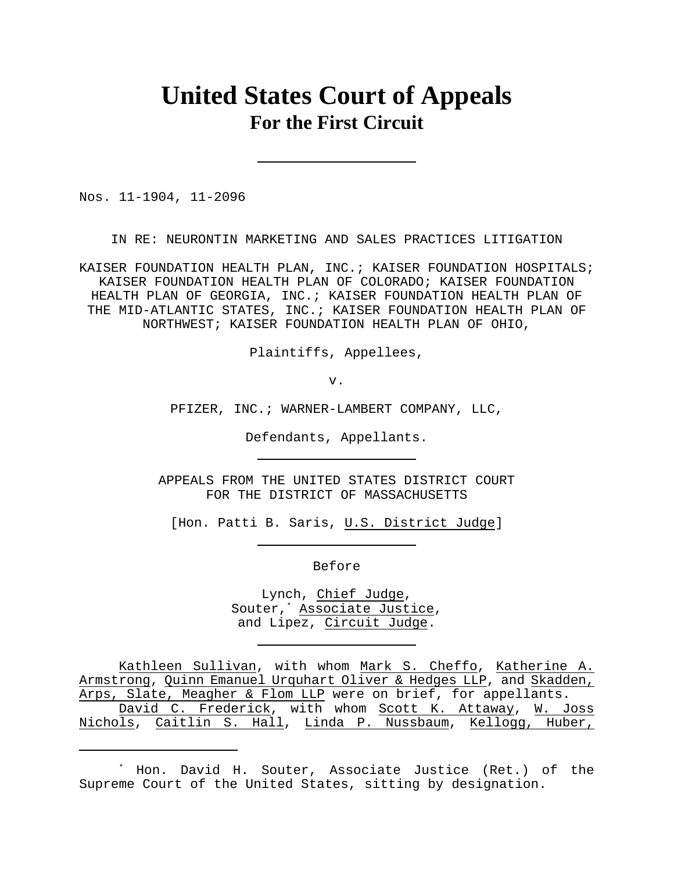# **United States Court of Appeals For the First Circuit**

Nos. 11-1904, 11-2096

IN RE: NEURONTIN MARKETING AND SALES PRACTICES LITIGATION

KAISER FOUNDATION HEALTH PLAN, INC.; KAISER FOUNDATION HOSPITALS; KAISER FOUNDATION HEALTH PLAN OF COLORADO; KAISER FOUNDATION HEALTH PLAN OF GEORGIA, INC.; KAISER FOUNDATION HEALTH PLAN OF THE MID-ATLANTIC STATES, INC.; KAISER FOUNDATION HEALTH PLAN OF NORTHWEST; KAISER FOUNDATION HEALTH PLAN OF OHIO,

Plaintiffs, Appellees,

v.

PFIZER, INC.; WARNER-LAMBERT COMPANY, LLC,

Defendants, Appellants.

APPEALS FROM THE UNITED STATES DISTRICT COURT FOR THE DISTRICT OF MASSACHUSETTS

[Hon. Patti B. Saris, U.S. District Judge]

Before

Lynch, Chief Judge, Souter,<sup>\*</sup> Associate Justice, and Lipez, Circuit Judge.

Kathleen Sullivan, with whom Mark S. Cheffo, Katherine A. Armstrong, Quinn Emanuel Urquhart Oliver & Hedges LLP, and Skadden, Arps, Slate, Meagher & Flom LLP were on brief, for appellants. David C. Frederick, with whom Scott K. Attaway, W. Joss Nichols, Caitlin S. Hall, Linda P. Nussbaum, Kellogg, Huber,

Hon. David H. Souter, Associate Justice (Ret.) of the \* Supreme Court of the United States, sitting by designation.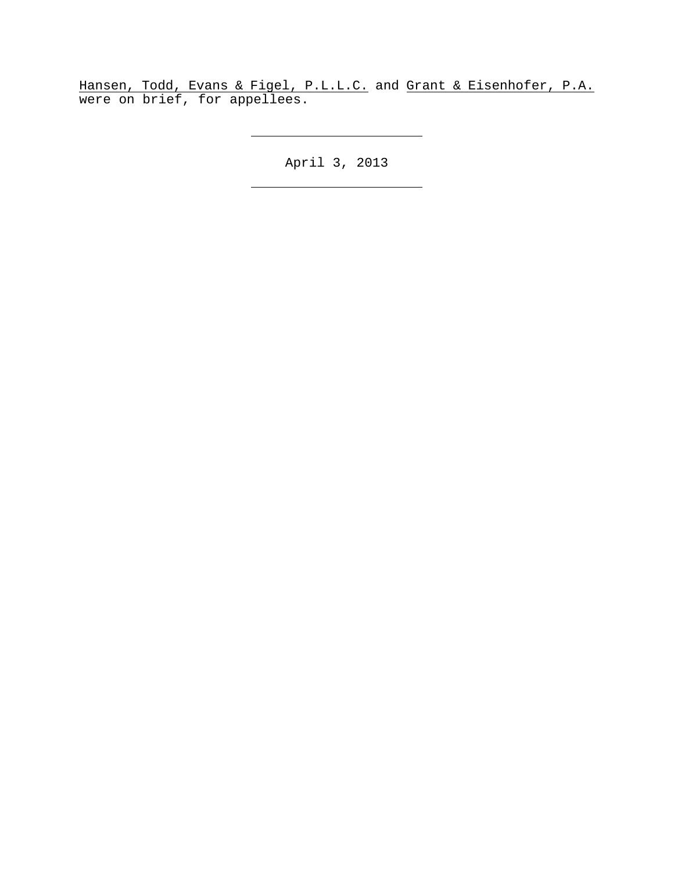Hansen, Todd, Evans & Figel, P.L.L.C. and Grant & Eisenhofer, P.A. were on brief, for appellees.

April 3, 2013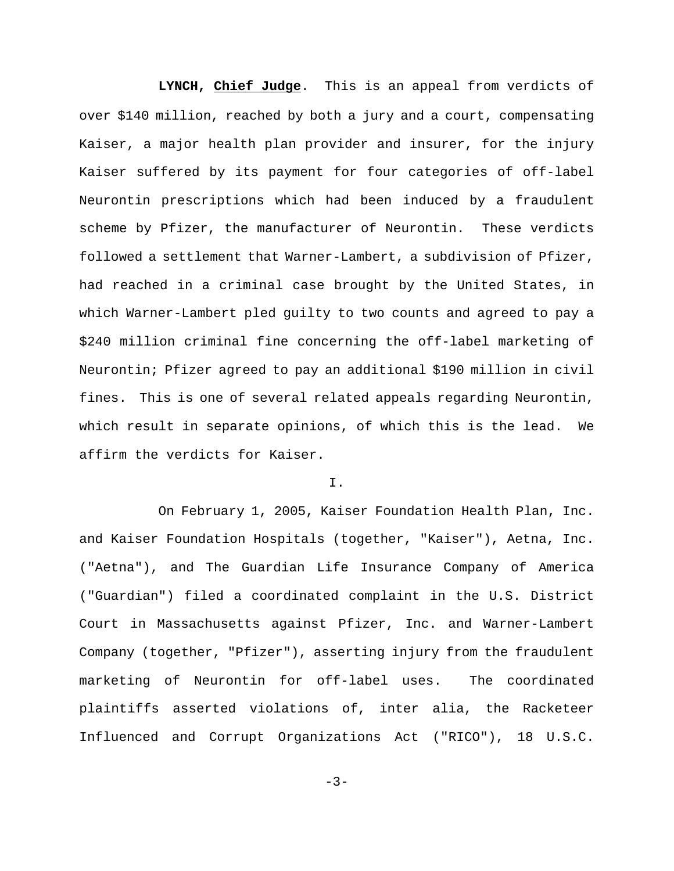**LYNCH, Chief Judge**. This is an appeal from verdicts of over \$140 million, reached by both a jury and a court, compensating Kaiser, a major health plan provider and insurer, for the injury Kaiser suffered by its payment for four categories of off-label Neurontin prescriptions which had been induced by a fraudulent scheme by Pfizer, the manufacturer of Neurontin. These verdicts followed a settlement that Warner-Lambert, a subdivision of Pfizer, had reached in a criminal case brought by the United States, in which Warner-Lambert pled guilty to two counts and agreed to pay a \$240 million criminal fine concerning the off-label marketing of Neurontin; Pfizer agreed to pay an additional \$190 million in civil fines. This is one of several related appeals regarding Neurontin, which result in separate opinions, of which this is the lead. We affirm the verdicts for Kaiser.

## I.

On February 1, 2005, Kaiser Foundation Health Plan, Inc. and Kaiser Foundation Hospitals (together, "Kaiser"), Aetna, Inc. ("Aetna"), and The Guardian Life Insurance Company of America ("Guardian") filed a coordinated complaint in the U.S. District Court in Massachusetts against Pfizer, Inc. and Warner-Lambert Company (together, "Pfizer"), asserting injury from the fraudulent marketing of Neurontin for off-label uses. The coordinated plaintiffs asserted violations of, inter alia, the Racketeer Influenced and Corrupt Organizations Act ("RICO"), 18 U.S.C.

 $-3-$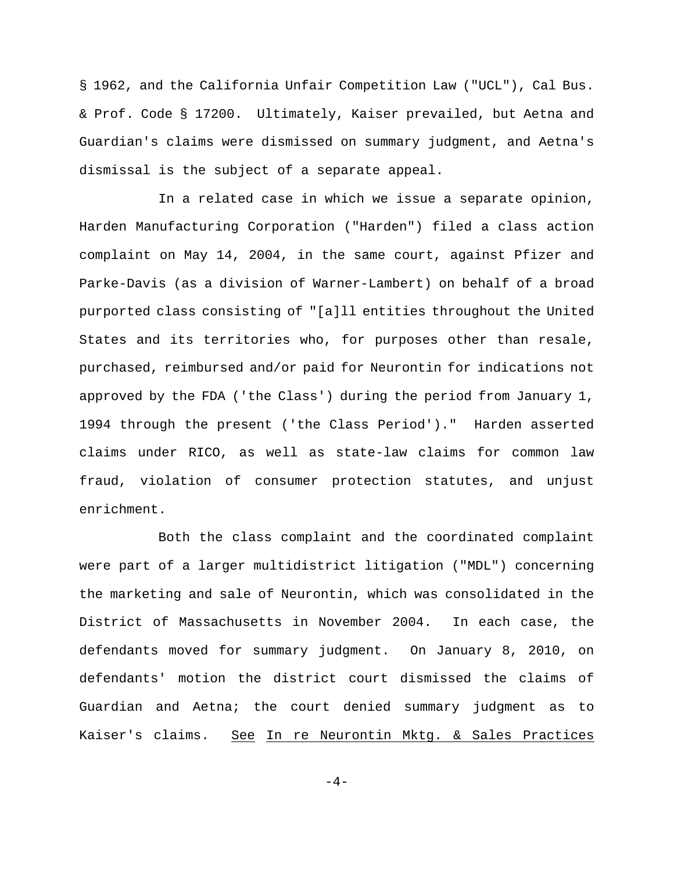§ 1962, and the California Unfair Competition Law ("UCL"), Cal Bus. & Prof. Code § 17200. Ultimately, Kaiser prevailed, but Aetna and Guardian's claims were dismissed on summary judgment, and Aetna's dismissal is the subject of a separate appeal.

In a related case in which we issue a separate opinion, Harden Manufacturing Corporation ("Harden") filed a class action complaint on May 14, 2004, in the same court, against Pfizer and Parke-Davis (as a division of Warner-Lambert) on behalf of a broad purported class consisting of "[a]ll entities throughout the United States and its territories who, for purposes other than resale, purchased, reimbursed and/or paid for Neurontin for indications not approved by the FDA ('the Class') during the period from January 1, 1994 through the present ('the Class Period')." Harden asserted claims under RICO, as well as state-law claims for common law fraud, violation of consumer protection statutes, and unjust enrichment.

Both the class complaint and the coordinated complaint were part of a larger multidistrict litigation ("MDL") concerning the marketing and sale of Neurontin, which was consolidated in the District of Massachusetts in November 2004. In each case, the defendants moved for summary judgment. On January 8, 2010, on defendants' motion the district court dismissed the claims of Guardian and Aetna; the court denied summary judgment as to Kaiser's claims. See In re Neurontin Mktg. & Sales Practices

 $-4-$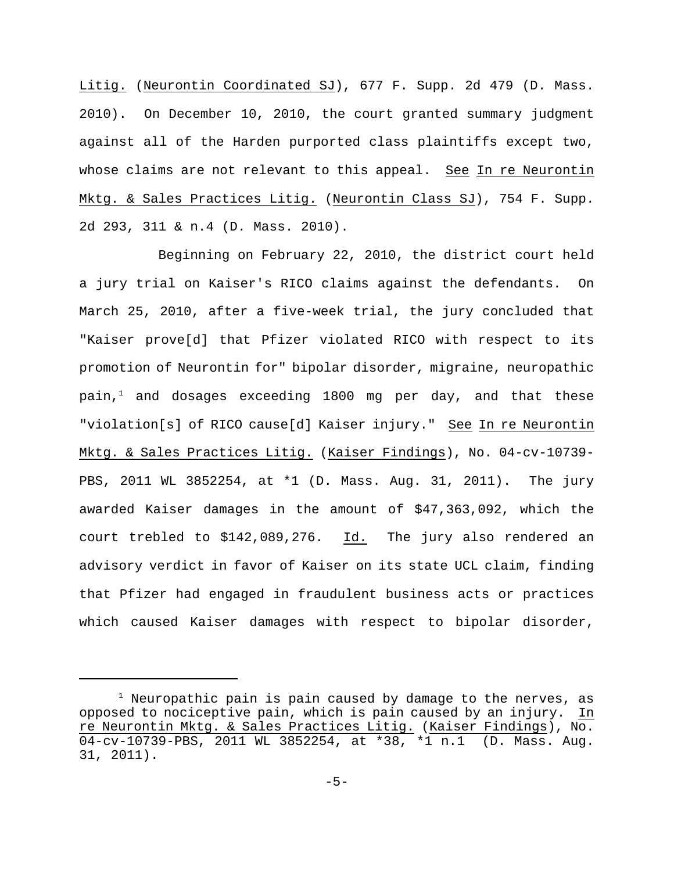Litig. (Neurontin Coordinated SJ), 677 F. Supp. 2d 479 (D. Mass. 2010). On December 10, 2010, the court granted summary judgment against all of the Harden purported class plaintiffs except two, whose claims are not relevant to this appeal. See In re Neurontin Mktg. & Sales Practices Litig. (Neurontin Class SJ), 754 F. Supp. 2d 293, 311 & n.4 (D. Mass. 2010).

Beginning on February 22, 2010, the district court held a jury trial on Kaiser's RICO claims against the defendants. On March 25, 2010, after a five-week trial, the jury concluded that "Kaiser prove[d] that Pfizer violated RICO with respect to its promotion of Neurontin for" bipolar disorder, migraine, neuropathic pain,<sup>1</sup> and dosages exceeding 1800 mg per day, and that these "violation[s] of RICO cause[d] Kaiser injury." See In re Neurontin Mktg. & Sales Practices Litig. (Kaiser Findings), No. 04-cv-10739- PBS, 2011 WL 3852254, at \*1 (D. Mass. Aug. 31, 2011). The jury awarded Kaiser damages in the amount of \$47,363,092, which the court trebled to \$142,089,276. Id. The jury also rendered an advisory verdict in favor of Kaiser on its state UCL claim, finding that Pfizer had engaged in fraudulent business acts or practices which caused Kaiser damages with respect to bipolar disorder,

 $1$  Neuropathic pain is pain caused by damage to the nerves, as opposed to nociceptive pain, which is pain caused by an injury. In re Neurontin Mktg. & Sales Practices Litig. (Kaiser Findings), No. 04-cv-10739-PBS, 2011 WL 3852254, at \*38, \*1 n.1 (D. Mass. Aug. 31, 2011).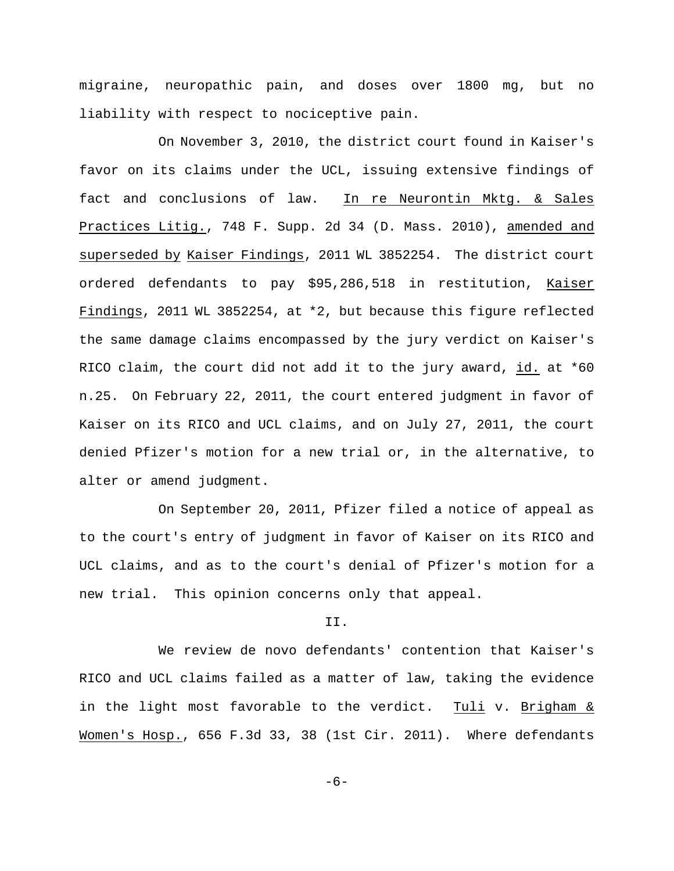migraine, neuropathic pain, and doses over 1800 mg, but no liability with respect to nociceptive pain.

On November 3, 2010, the district court found in Kaiser's favor on its claims under the UCL, issuing extensive findings of fact and conclusions of law. In re Neurontin Mktg. & Sales Practices Litig., 748 F. Supp. 2d 34 (D. Mass. 2010), amended and superseded by Kaiser Findings, 2011 WL 3852254. The district court ordered defendants to pay \$95,286,518 in restitution, Kaiser Findings, 2011 WL 3852254, at \*2, but because this figure reflected the same damage claims encompassed by the jury verdict on Kaiser's RICO claim, the court did not add it to the jury award, id. at \*60 n.25. On February 22, 2011, the court entered judgment in favor of Kaiser on its RICO and UCL claims, and on July 27, 2011, the court denied Pfizer's motion for a new trial or, in the alternative, to alter or amend judgment.

On September 20, 2011, Pfizer filed a notice of appeal as to the court's entry of judgment in favor of Kaiser on its RICO and UCL claims, and as to the court's denial of Pfizer's motion for a new trial. This opinion concerns only that appeal.

## II.

We review de novo defendants' contention that Kaiser's RICO and UCL claims failed as a matter of law, taking the evidence in the light most favorable to the verdict. Tuli v. Brigham & Women's Hosp., 656 F.3d 33, 38 (1st Cir. 2011). Where defendants

 $-6-$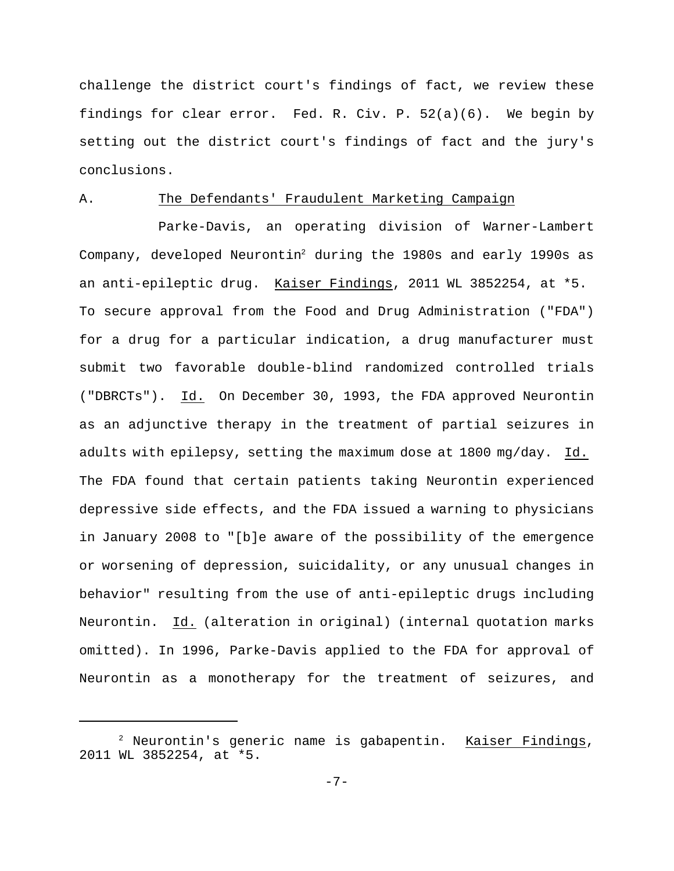challenge the district court's findings of fact, we review these findings for clear error. Fed. R. Civ. P. 52(a)(6). We begin by setting out the district court's findings of fact and the jury's conclusions.

# A. The Defendants' Fraudulent Marketing Campaign

Parke-Davis, an operating division of Warner-Lambert Company, developed Neurontin<sup>2</sup> during the 1980s and early 1990s as an anti-epileptic drug. Kaiser Findings, 2011 WL 3852254, at \*5. To secure approval from the Food and Drug Administration ("FDA") for a drug for a particular indication, a drug manufacturer must submit two favorable double-blind randomized controlled trials ("DBRCTs"). Id. On December 30, 1993, the FDA approved Neurontin as an adjunctive therapy in the treatment of partial seizures in adults with epilepsy, setting the maximum dose at 1800 mg/day. Id. The FDA found that certain patients taking Neurontin experienced depressive side effects, and the FDA issued a warning to physicians in January 2008 to "[b]e aware of the possibility of the emergence or worsening of depression, suicidality, or any unusual changes in behavior" resulting from the use of anti-epileptic drugs including Neurontin. Id. (alteration in original) (internal quotation marks omitted). In 1996, Parke-Davis applied to the FDA for approval of Neurontin as a monotherapy for the treatment of seizures, and

 $2$  Neurontin's generic name is gabapentin. Kaiser Findings, 2011 WL 3852254, at \*5.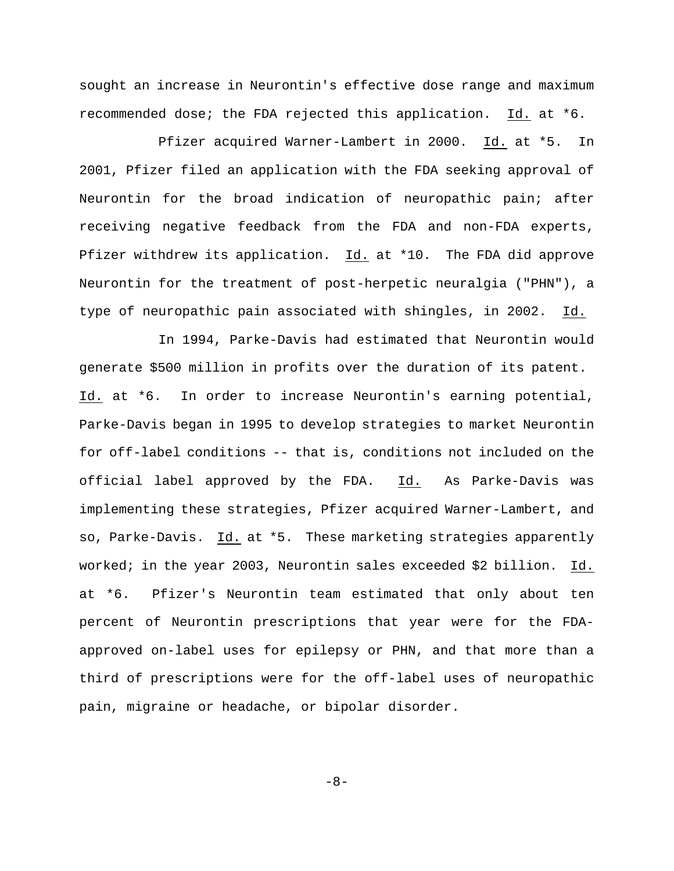sought an increase in Neurontin's effective dose range and maximum recommended dose; the FDA rejected this application. Id. at \*6.

Pfizer acquired Warner-Lambert in 2000. Id. at \*5. In 2001, Pfizer filed an application with the FDA seeking approval of Neurontin for the broad indication of neuropathic pain; after receiving negative feedback from the FDA and non-FDA experts, Pfizer withdrew its application. Id. at \*10. The FDA did approve Neurontin for the treatment of post-herpetic neuralgia ("PHN"), a type of neuropathic pain associated with shingles, in 2002. Id.

In 1994, Parke-Davis had estimated that Neurontin would generate \$500 million in profits over the duration of its patent. Id. at \*6. In order to increase Neurontin's earning potential, Parke-Davis began in 1995 to develop strategies to market Neurontin for off-label conditions -- that is, conditions not included on the official label approved by the FDA. Id. As Parke-Davis was implementing these strategies, Pfizer acquired Warner-Lambert, and so, Parke-Davis. Id. at \*5. These marketing strategies apparently worked; in the year 2003, Neurontin sales exceeded \$2 billion. Id. at \*6. Pfizer's Neurontin team estimated that only about ten percent of Neurontin prescriptions that year were for the FDAapproved on-label uses for epilepsy or PHN, and that more than a third of prescriptions were for the off-label uses of neuropathic pain, migraine or headache, or bipolar disorder.

-8-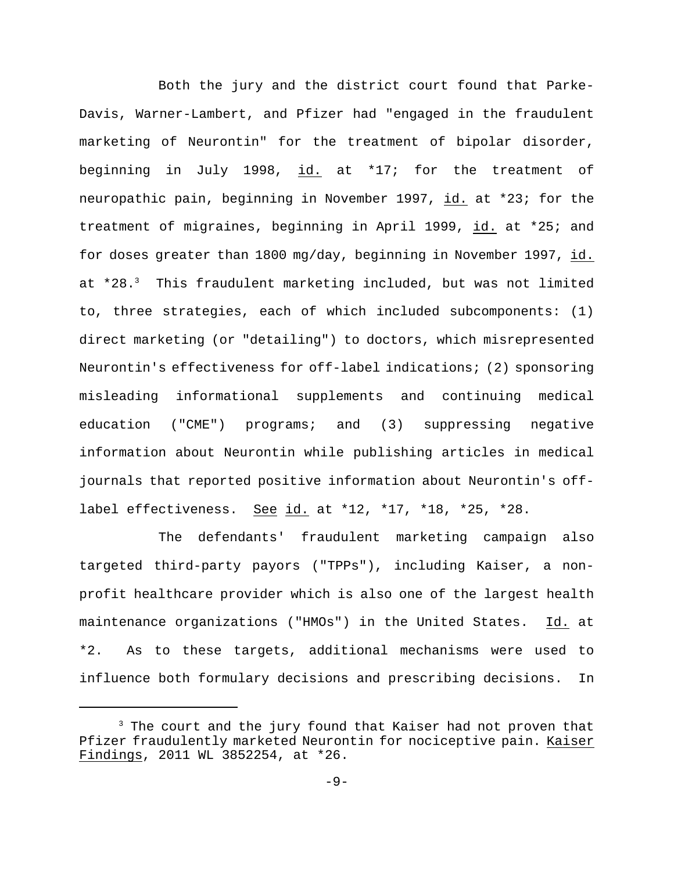Both the jury and the district court found that Parke-Davis, Warner-Lambert, and Pfizer had "engaged in the fraudulent marketing of Neurontin" for the treatment of bipolar disorder, beginning in July 1998, id. at \*17; for the treatment of neuropathic pain, beginning in November 1997, id. at \*23; for the treatment of migraines, beginning in April 1999, id. at \*25; and for doses greater than 1800 mg/day, beginning in November 1997, id. at  $*28.3$  This fraudulent marketing included, but was not limited to, three strategies, each of which included subcomponents: (1) direct marketing (or "detailing") to doctors, which misrepresented Neurontin's effectiveness for off-label indications; (2) sponsoring misleading informational supplements and continuing medical education ("CME") programs; and (3) suppressing negative information about Neurontin while publishing articles in medical journals that reported positive information about Neurontin's offlabel effectiveness. See id. at \*12, \*17, \*18, \*25, \*28.

The defendants' fraudulent marketing campaign also targeted third-party payors ("TPPs"), including Kaiser, a nonprofit healthcare provider which is also one of the largest health maintenance organizations ("HMOs") in the United States. Id. at \*2. As to these targets, additional mechanisms were used to influence both formulary decisions and prescribing decisions. In

 $3$  The court and the jury found that Kaiser had not proven that Pfizer fraudulently marketed Neurontin for nociceptive pain. Kaiser Findings, 2011 WL 3852254, at \*26.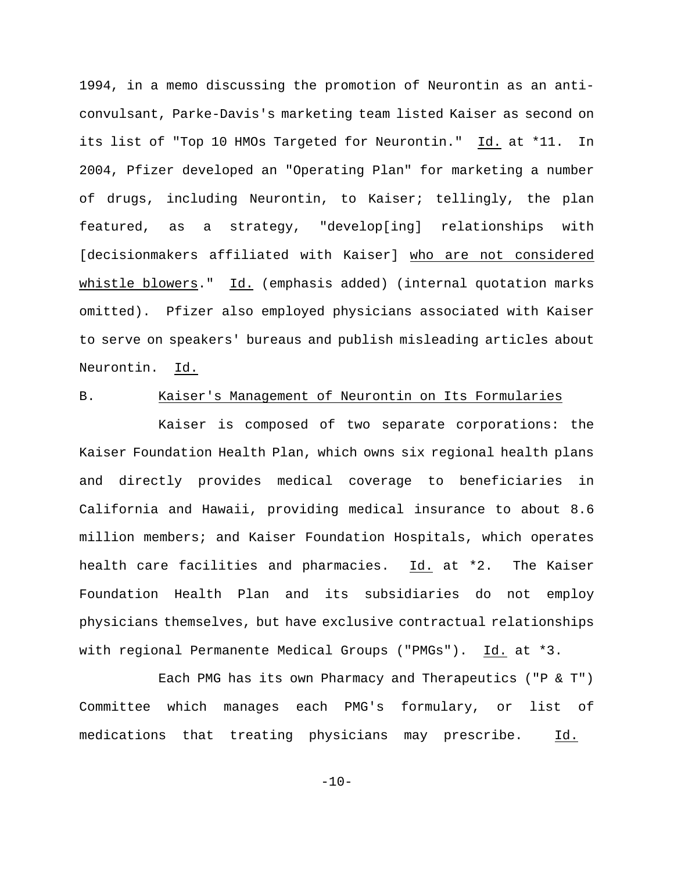1994, in a memo discussing the promotion of Neurontin as an anticonvulsant, Parke-Davis's marketing team listed Kaiser as second on its list of "Top 10 HMOs Targeted for Neurontin." Id. at \*11. In 2004, Pfizer developed an "Operating Plan" for marketing a number of drugs, including Neurontin, to Kaiser; tellingly, the plan featured, as a strategy, "develop[ing] relationships with [decisionmakers affiliated with Kaiser] who are not considered whistle blowers." Id. (emphasis added) (internal quotation marks omitted). Pfizer also employed physicians associated with Kaiser to serve on speakers' bureaus and publish misleading articles about Neurontin. Id.

# B. Kaiser's Management of Neurontin on Its Formularies

Kaiser is composed of two separate corporations: the Kaiser Foundation Health Plan, which owns six regional health plans and directly provides medical coverage to beneficiaries in California and Hawaii, providing medical insurance to about 8.6 million members; and Kaiser Foundation Hospitals, which operates health care facilities and pharmacies. Id. at \*2. The Kaiser Foundation Health Plan and its subsidiaries do not employ physicians themselves, but have exclusive contractual relationships with regional Permanente Medical Groups ("PMGs"). Id. at \*3.

Each PMG has its own Pharmacy and Therapeutics ("P & T") Committee which manages each PMG's formulary, or list of medications that treating physicians may prescribe. Id.

 $-10-$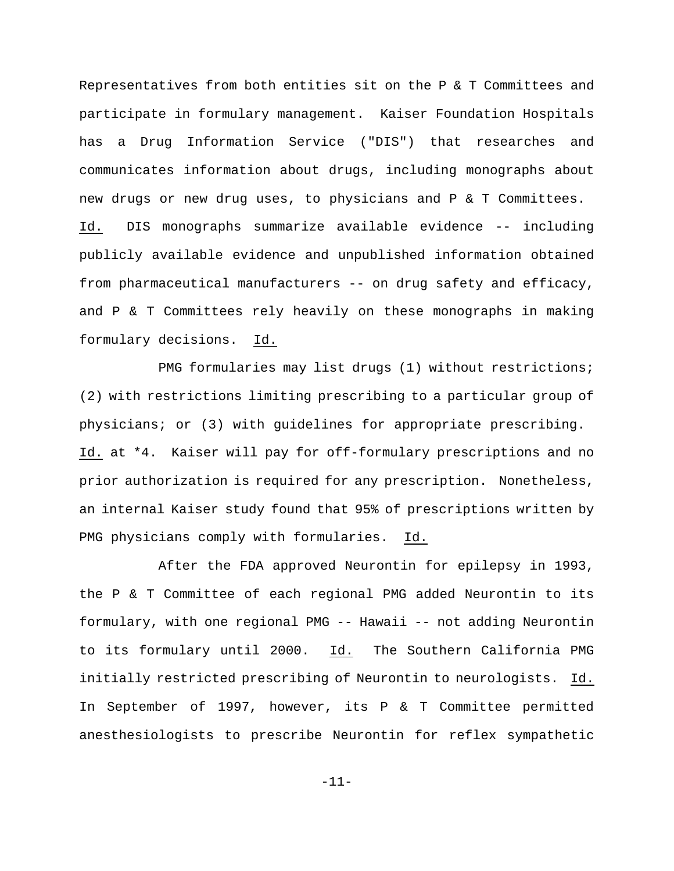Representatives from both entities sit on the P & T Committees and participate in formulary management. Kaiser Foundation Hospitals has a Drug Information Service ("DIS") that researches and communicates information about drugs, including monographs about new drugs or new drug uses, to physicians and P & T Committees. Id. DIS monographs summarize available evidence -- including publicly available evidence and unpublished information obtained from pharmaceutical manufacturers -- on drug safety and efficacy, and P & T Committees rely heavily on these monographs in making formulary decisions. Id.

PMG formularies may list drugs (1) without restrictions; (2) with restrictions limiting prescribing to a particular group of physicians; or (3) with guidelines for appropriate prescribing. Id. at \*4. Kaiser will pay for off-formulary prescriptions and no prior authorization is required for any prescription. Nonetheless, an internal Kaiser study found that 95% of prescriptions written by PMG physicians comply with formularies. Id.

After the FDA approved Neurontin for epilepsy in 1993, the P & T Committee of each regional PMG added Neurontin to its formulary, with one regional PMG -- Hawaii -- not adding Neurontin to its formulary until 2000. Id. The Southern California PMG initially restricted prescribing of Neurontin to neurologists. Id. In September of 1997, however, its P & T Committee permitted anesthesiologists to prescribe Neurontin for reflex sympathetic

-11-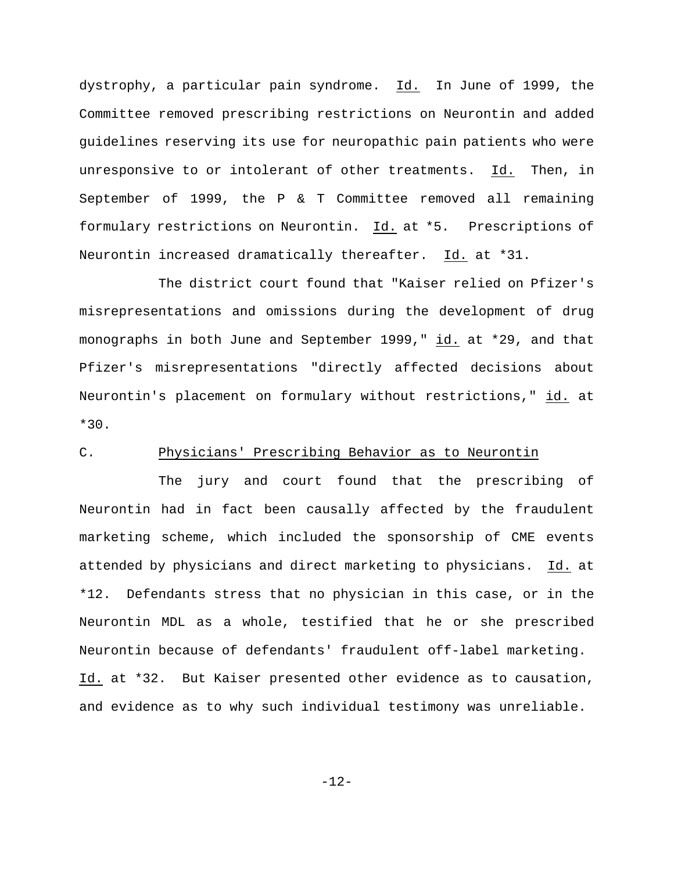dystrophy, a particular pain syndrome. Id. In June of 1999, the Committee removed prescribing restrictions on Neurontin and added guidelines reserving its use for neuropathic pain patients who were unresponsive to or intolerant of other treatments. Id. Then, in September of 1999, the P & T Committee removed all remaining formulary restrictions on Neurontin. Id. at \*5. Prescriptions of Neurontin increased dramatically thereafter. Id. at \*31.

The district court found that "Kaiser relied on Pfizer's misrepresentations and omissions during the development of drug monographs in both June and September 1999," id. at \*29, and that Pfizer's misrepresentations "directly affected decisions about Neurontin's placement on formulary without restrictions," id. at \*30.

# C. Physicians' Prescribing Behavior as to Neurontin

The jury and court found that the prescribing of Neurontin had in fact been causally affected by the fraudulent marketing scheme, which included the sponsorship of CME events attended by physicians and direct marketing to physicians. Id. at \*12. Defendants stress that no physician in this case, or in the Neurontin MDL as a whole, testified that he or she prescribed Neurontin because of defendants' fraudulent off-label marketing. Id. at \*32. But Kaiser presented other evidence as to causation, and evidence as to why such individual testimony was unreliable.

-12-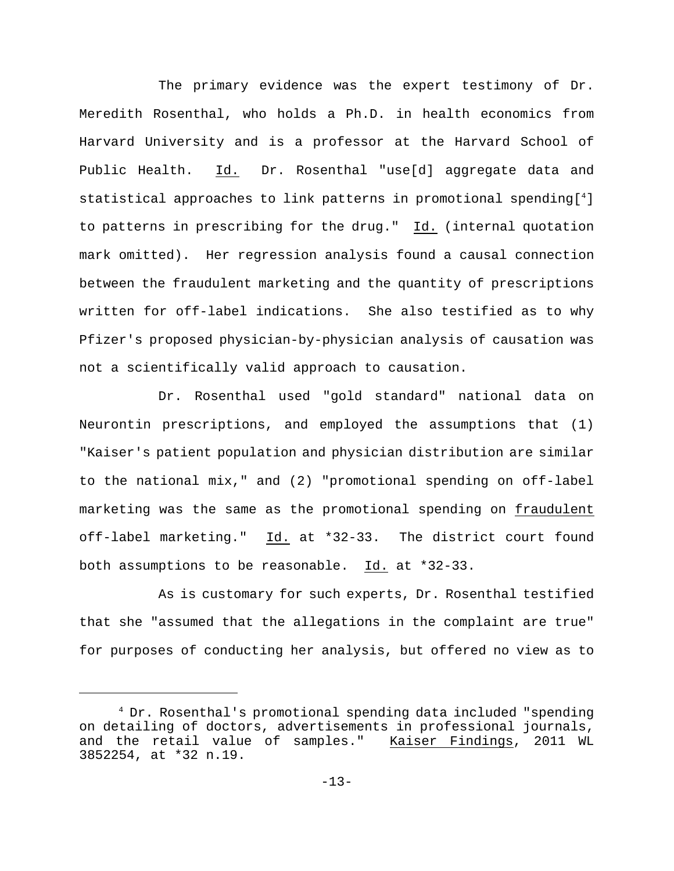The primary evidence was the expert testimony of Dr. Meredith Rosenthal, who holds a Ph.D. in health economics from Harvard University and is a professor at the Harvard School of Public Health. Id. Dr. Rosenthal "use[d] aggregate data and statistical approaches to link patterns in promotional spending[<sup>4</sup>] to patterns in prescribing for the drug." Id. (internal quotation mark omitted). Her regression analysis found a causal connection between the fraudulent marketing and the quantity of prescriptions written for off-label indications. She also testified as to why Pfizer's proposed physician-by-physician analysis of causation was not a scientifically valid approach to causation.

Dr. Rosenthal used "gold standard" national data on Neurontin prescriptions, and employed the assumptions that (1) "Kaiser's patient population and physician distribution are similar to the national mix," and (2) "promotional spending on off-label marketing was the same as the promotional spending on fraudulent off-label marketing." Id. at \*32-33. The district court found both assumptions to be reasonable. Id. at \*32-33.

As is customary for such experts, Dr. Rosenthal testified that she "assumed that the allegations in the complaint are true" for purposes of conducting her analysis, but offered no view as to

 $4$  Dr. Rosenthal's promotional spending data included "spending on detailing of doctors, advertisements in professional journals, and the retail value of samples." Kaiser Findings, 2011 WL 3852254, at \*32 n.19.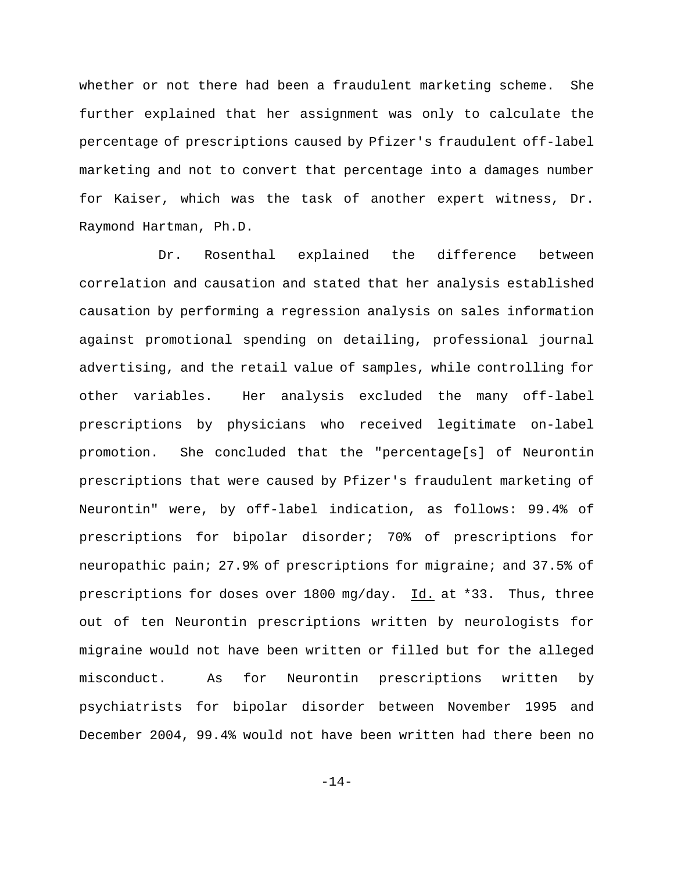whether or not there had been a fraudulent marketing scheme. She further explained that her assignment was only to calculate the percentage of prescriptions caused by Pfizer's fraudulent off-label marketing and not to convert that percentage into a damages number for Kaiser, which was the task of another expert witness, Dr. Raymond Hartman, Ph.D.

Dr. Rosenthal explained the difference between correlation and causation and stated that her analysis established causation by performing a regression analysis on sales information against promotional spending on detailing, professional journal advertising, and the retail value of samples, while controlling for other variables. Her analysis excluded the many off-label prescriptions by physicians who received legitimate on-label promotion. She concluded that the "percentage[s] of Neurontin prescriptions that were caused by Pfizer's fraudulent marketing of Neurontin" were, by off-label indication, as follows: 99.4% of prescriptions for bipolar disorder; 70% of prescriptions for neuropathic pain; 27.9% of prescriptions for migraine; and 37.5% of prescriptions for doses over 1800 mg/day. Id. at \*33. Thus, three out of ten Neurontin prescriptions written by neurologists for migraine would not have been written or filled but for the alleged misconduct. As for Neurontin prescriptions written by psychiatrists for bipolar disorder between November 1995 and December 2004, 99.4% would not have been written had there been no

 $-14-$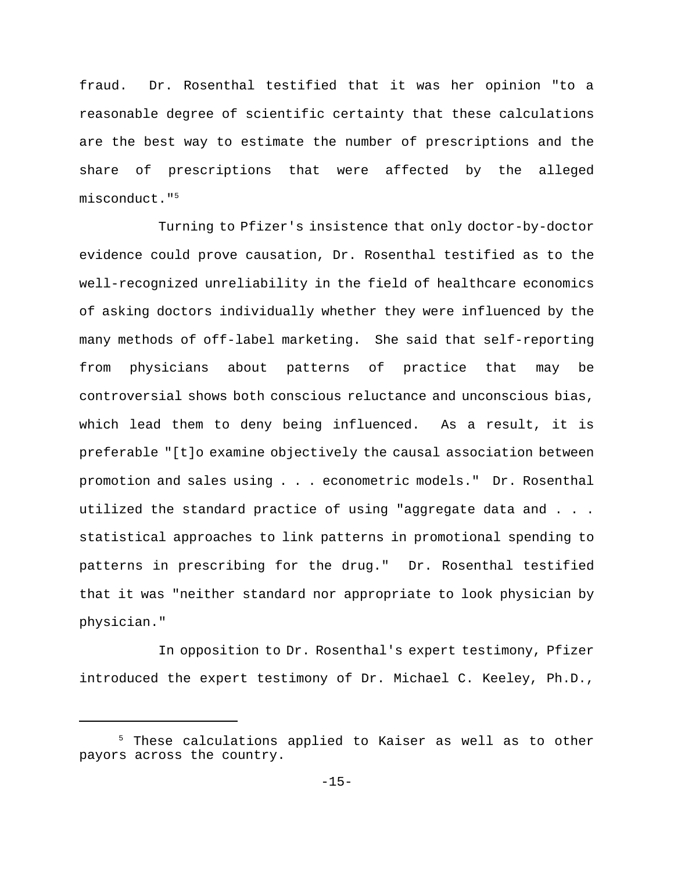fraud. Dr. Rosenthal testified that it was her opinion "to a reasonable degree of scientific certainty that these calculations are the best way to estimate the number of prescriptions and the share of prescriptions that were affected by the alleged misconduct."<sup>5</sup>

Turning to Pfizer's insistence that only doctor-by-doctor evidence could prove causation, Dr. Rosenthal testified as to the well-recognized unreliability in the field of healthcare economics of asking doctors individually whether they were influenced by the many methods of off-label marketing. She said that self-reporting from physicians about patterns of practice that may be controversial shows both conscious reluctance and unconscious bias, which lead them to deny being influenced. As a result, it is preferable "[t]o examine objectively the causal association between promotion and sales using . . . econometric models." Dr. Rosenthal utilized the standard practice of using "aggregate data and . . . statistical approaches to link patterns in promotional spending to patterns in prescribing for the drug." Dr. Rosenthal testified that it was "neither standard nor appropriate to look physician by physician."

In opposition to Dr. Rosenthal's expert testimony, Pfizer introduced the expert testimony of Dr. Michael C. Keeley, Ph.D.,

 $5$  These calculations applied to Kaiser as well as to other payors across the country.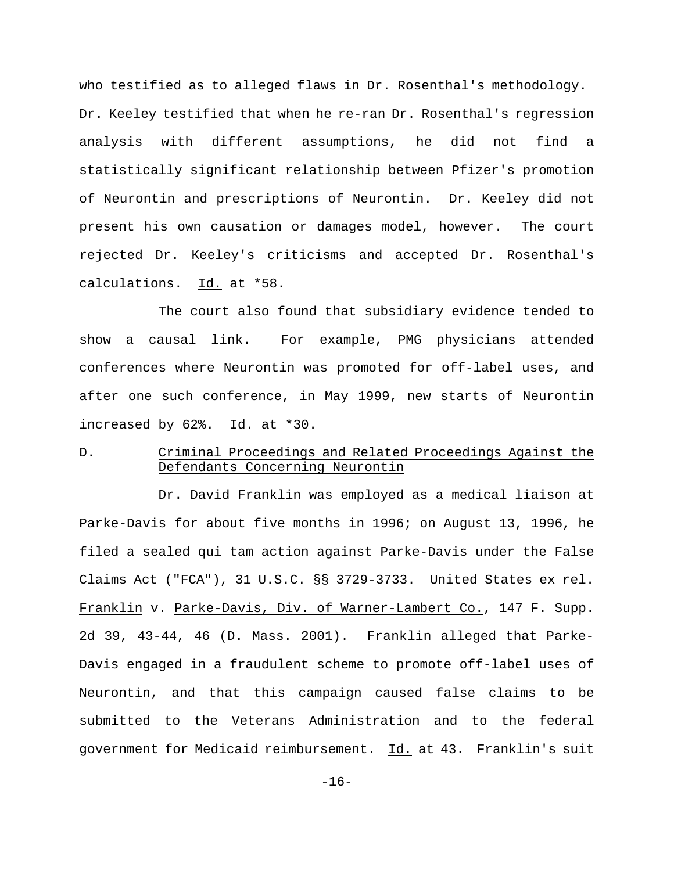who testified as to alleged flaws in Dr. Rosenthal's methodology. Dr. Keeley testified that when he re-ran Dr. Rosenthal's regression analysis with different assumptions, he did not find a statistically significant relationship between Pfizer's promotion of Neurontin and prescriptions of Neurontin. Dr. Keeley did not present his own causation or damages model, however. The court rejected Dr. Keeley's criticisms and accepted Dr. Rosenthal's calculations. Id. at \*58.

The court also found that subsidiary evidence tended to show a causal link. For example, PMG physicians attended conferences where Neurontin was promoted for off-label uses, and after one such conference, in May 1999, new starts of Neurontin increased by 62%. Id. at \*30.

# D. Criminal Proceedings and Related Proceedings Against the Defendants Concerning Neurontin

Dr. David Franklin was employed as a medical liaison at Parke-Davis for about five months in 1996; on August 13, 1996, he filed a sealed qui tam action against Parke-Davis under the False Claims Act ("FCA"), 31 U.S.C. §§ 3729-3733. United States ex rel. Franklin v. Parke-Davis, Div. of Warner-Lambert Co., 147 F. Supp. 2d 39, 43-44, 46 (D. Mass. 2001). Franklin alleged that Parke-Davis engaged in a fraudulent scheme to promote off-label uses of Neurontin, and that this campaign caused false claims to be submitted to the Veterans Administration and to the federal government for Medicaid reimbursement. Id. at 43. Franklin's suit

-16-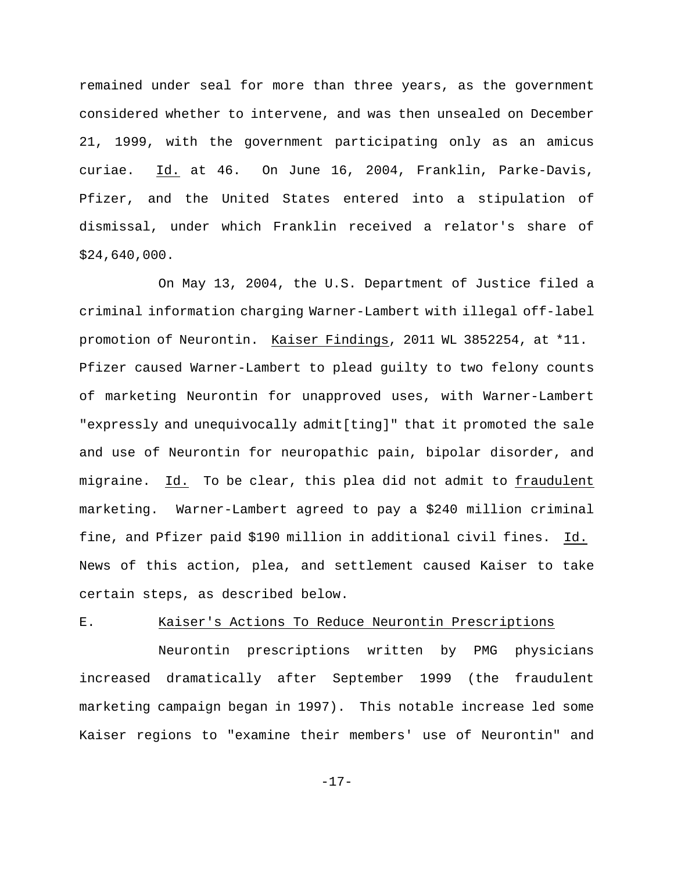remained under seal for more than three years, as the government considered whether to intervene, and was then unsealed on December 21, 1999, with the government participating only as an amicus curiae. Id. at 46. On June 16, 2004, Franklin, Parke-Davis, Pfizer, and the United States entered into a stipulation of dismissal, under which Franklin received a relator's share of \$24,640,000.

On May 13, 2004, the U.S. Department of Justice filed a criminal information charging Warner-Lambert with illegal off-label promotion of Neurontin. Kaiser Findings, 2011 WL 3852254, at \*11. Pfizer caused Warner-Lambert to plead guilty to two felony counts of marketing Neurontin for unapproved uses, with Warner-Lambert "expressly and unequivocally admit[ting]" that it promoted the sale and use of Neurontin for neuropathic pain, bipolar disorder, and migraine. Id. To be clear, this plea did not admit to fraudulent marketing. Warner-Lambert agreed to pay a \$240 million criminal fine, and Pfizer paid \$190 million in additional civil fines. Id. News of this action, plea, and settlement caused Kaiser to take certain steps, as described below.

#### E. Kaiser's Actions To Reduce Neurontin Prescriptions

Neurontin prescriptions written by PMG physicians increased dramatically after September 1999 (the fraudulent marketing campaign began in 1997). This notable increase led some Kaiser regions to "examine their members' use of Neurontin" and

-17-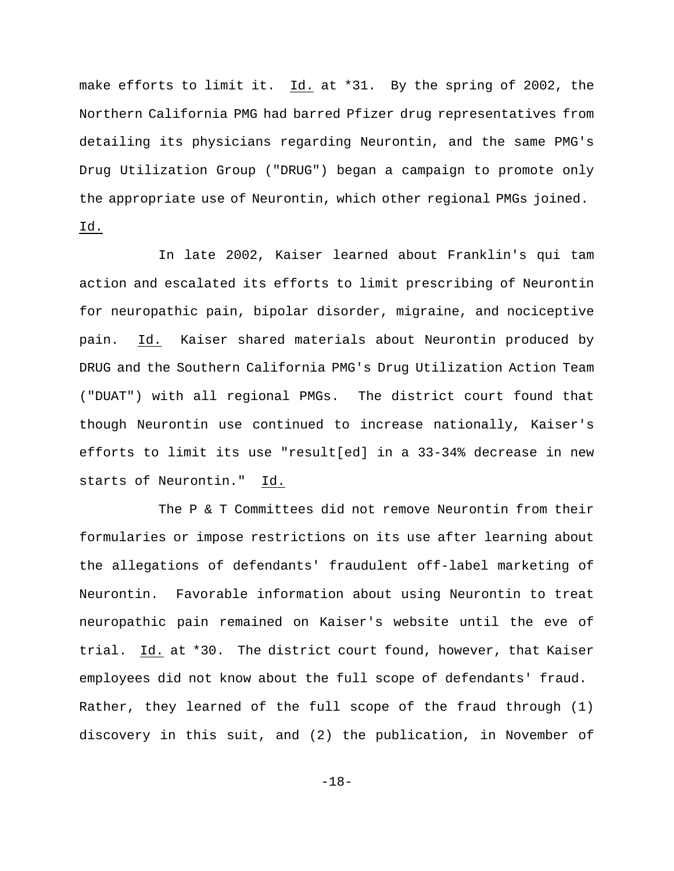make efforts to limit it. Id. at \*31. By the spring of 2002, the Northern California PMG had barred Pfizer drug representatives from detailing its physicians regarding Neurontin, and the same PMG's Drug Utilization Group ("DRUG") began a campaign to promote only the appropriate use of Neurontin, which other regional PMGs joined. Id.

In late 2002, Kaiser learned about Franklin's qui tam action and escalated its efforts to limit prescribing of Neurontin for neuropathic pain, bipolar disorder, migraine, and nociceptive pain. Id. Kaiser shared materials about Neurontin produced by DRUG and the Southern California PMG's Drug Utilization Action Team ("DUAT") with all regional PMGs. The district court found that though Neurontin use continued to increase nationally, Kaiser's efforts to limit its use "result[ed] in a 33-34% decrease in new starts of Neurontin." Id.

The P & T Committees did not remove Neurontin from their formularies or impose restrictions on its use after learning about the allegations of defendants' fraudulent off-label marketing of Neurontin. Favorable information about using Neurontin to treat neuropathic pain remained on Kaiser's website until the eve of trial. Id. at \*30. The district court found, however, that Kaiser employees did not know about the full scope of defendants' fraud. Rather, they learned of the full scope of the fraud through (1) discovery in this suit, and (2) the publication, in November of

-18-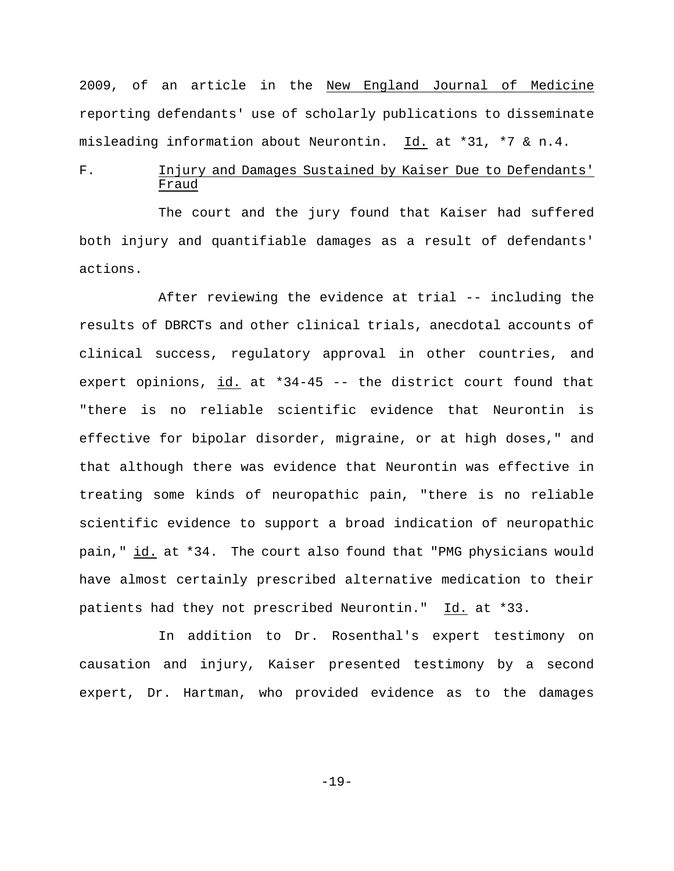2009, of an article in the New England Journal of Medicine reporting defendants' use of scholarly publications to disseminate misleading information about Neurontin. Id. at \*31, \*7 & n.4.

# F. Injury and Damages Sustained by Kaiser Due to Defendants' Fraud

The court and the jury found that Kaiser had suffered both injury and quantifiable damages as a result of defendants' actions.

After reviewing the evidence at trial -- including the results of DBRCTs and other clinical trials, anecdotal accounts of clinical success, regulatory approval in other countries, and expert opinions, id. at \*34-45 -- the district court found that "there is no reliable scientific evidence that Neurontin is effective for bipolar disorder, migraine, or at high doses," and that although there was evidence that Neurontin was effective in treating some kinds of neuropathic pain, "there is no reliable scientific evidence to support a broad indication of neuropathic pain," id. at \*34. The court also found that "PMG physicians would have almost certainly prescribed alternative medication to their patients had they not prescribed Neurontin." Id. at \*33.

In addition to Dr. Rosenthal's expert testimony on causation and injury, Kaiser presented testimony by a second expert, Dr. Hartman, who provided evidence as to the damages

-19-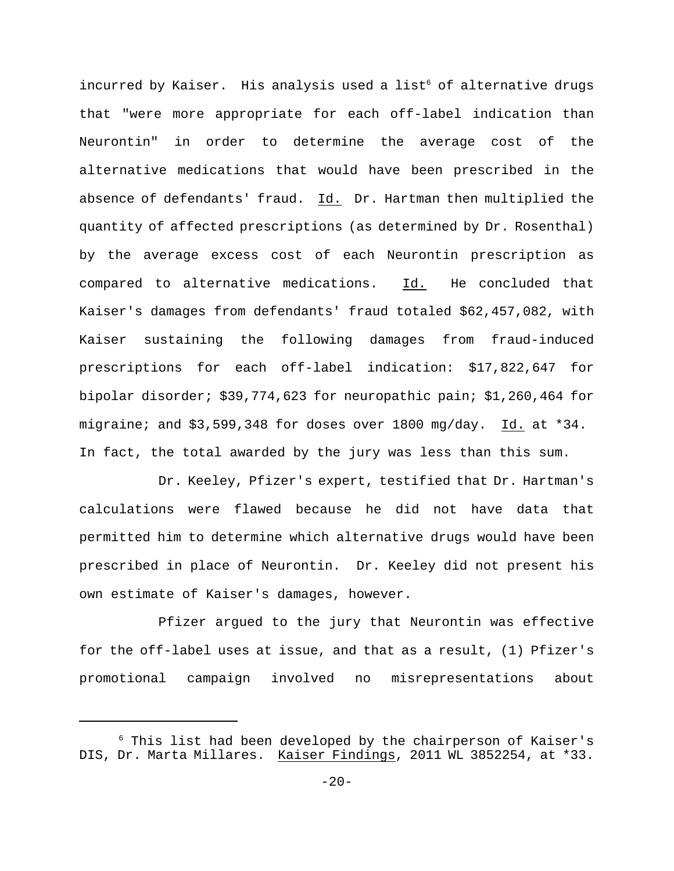incurred by Kaiser. His analysis used a list<sup>6</sup> of alternative drugs that "were more appropriate for each off-label indication than Neurontin" in order to determine the average cost of the alternative medications that would have been prescribed in the absence of defendants' fraud. Id. Dr. Hartman then multiplied the quantity of affected prescriptions (as determined by Dr. Rosenthal) by the average excess cost of each Neurontin prescription as compared to alternative medications. Id. He concluded that Kaiser's damages from defendants' fraud totaled \$62,457,082, with Kaiser sustaining the following damages from fraud-induced prescriptions for each off-label indication: \$17,822,647 for bipolar disorder; \$39,774,623 for neuropathic pain; \$1,260,464 for migraine; and \$3,599,348 for doses over 1800 mg/day. Id. at \*34. In fact, the total awarded by the jury was less than this sum.

Dr. Keeley, Pfizer's expert, testified that Dr. Hartman's calculations were flawed because he did not have data that permitted him to determine which alternative drugs would have been prescribed in place of Neurontin. Dr. Keeley did not present his own estimate of Kaiser's damages, however.

Pfizer argued to the jury that Neurontin was effective for the off-label uses at issue, and that as a result, (1) Pfizer's promotional campaign involved no misrepresentations about

 $6$  This list had been developed by the chairperson of Kaiser's DIS, Dr. Marta Millares. Kaiser Findings, 2011 WL 3852254, at \*33.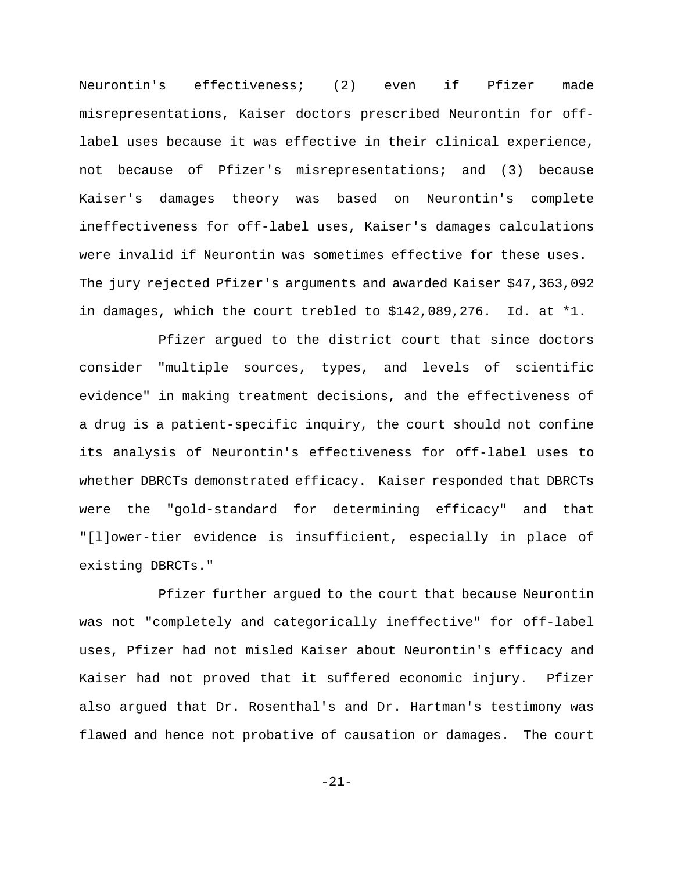Neurontin's effectiveness; (2) even if Pfizer made misrepresentations, Kaiser doctors prescribed Neurontin for offlabel uses because it was effective in their clinical experience, not because of Pfizer's misrepresentations; and (3) because Kaiser's damages theory was based on Neurontin's complete ineffectiveness for off-label uses, Kaiser's damages calculations were invalid if Neurontin was sometimes effective for these uses. The jury rejected Pfizer's arguments and awarded Kaiser \$47,363,092 in damages, which the court trebled to \$142,089,276. Id. at \*1.

Pfizer argued to the district court that since doctors consider "multiple sources, types, and levels of scientific evidence" in making treatment decisions, and the effectiveness of a drug is a patient-specific inquiry, the court should not confine its analysis of Neurontin's effectiveness for off-label uses to whether DBRCTs demonstrated efficacy. Kaiser responded that DBRCTs were the "gold-standard for determining efficacy" and that "[l]ower-tier evidence is insufficient, especially in place of existing DBRCTs."

Pfizer further argued to the court that because Neurontin was not "completely and categorically ineffective" for off-label uses, Pfizer had not misled Kaiser about Neurontin's efficacy and Kaiser had not proved that it suffered economic injury. Pfizer also argued that Dr. Rosenthal's and Dr. Hartman's testimony was flawed and hence not probative of causation or damages. The court

-21-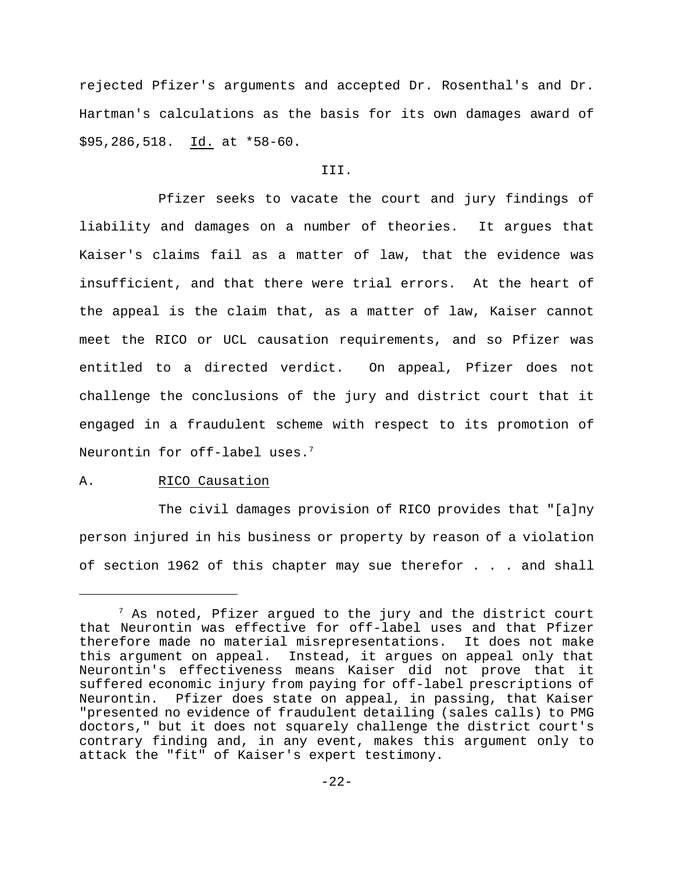rejected Pfizer's arguments and accepted Dr. Rosenthal's and Dr. Hartman's calculations as the basis for its own damages award of \$95,286,518. Id. at \*58-60.

#### III.

Pfizer seeks to vacate the court and jury findings of liability and damages on a number of theories. It argues that Kaiser's claims fail as a matter of law, that the evidence was insufficient, and that there were trial errors. At the heart of the appeal is the claim that, as a matter of law, Kaiser cannot meet the RICO or UCL causation requirements, and so Pfizer was entitled to a directed verdict. On appeal, Pfizer does not challenge the conclusions of the jury and district court that it engaged in a fraudulent scheme with respect to its promotion of Neurontin for off-label uses. $7$ 

#### A. RICO Causation

The civil damages provision of RICO provides that "[a]ny person injured in his business or property by reason of a violation of section 1962 of this chapter may sue therefor . . . and shall

 $^7$  As noted, Pfizer argued to the jury and the district court that Neurontin was effective for off-label uses and that Pfizer therefore made no material misrepresentations. It does not make this argument on appeal. Instead, it argues on appeal only that Neurontin's effectiveness means Kaiser did not prove that it suffered economic injury from paying for off-label prescriptions of Neurontin. Pfizer does state on appeal, in passing, that Kaiser "presented no evidence of fraudulent detailing (sales calls) to PMG doctors," but it does not squarely challenge the district court's contrary finding and, in any event, makes this argument only to attack the "fit" of Kaiser's expert testimony.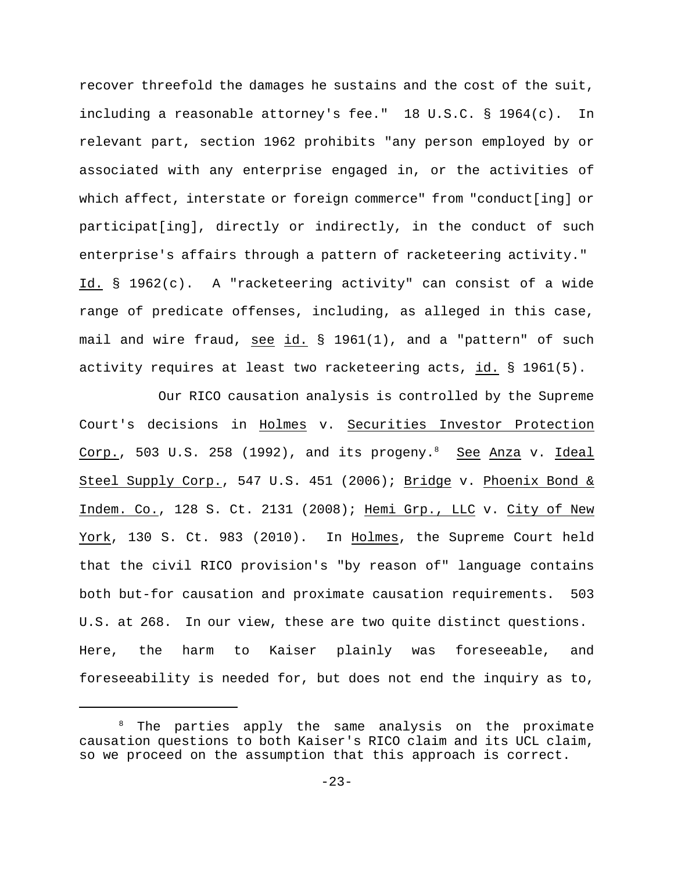recover threefold the damages he sustains and the cost of the suit, including a reasonable attorney's fee." 18 U.S.C. § 1964(c). In relevant part, section 1962 prohibits "any person employed by or associated with any enterprise engaged in, or the activities of which affect, interstate or foreign commerce" from "conduct[ing] or participat[ing], directly or indirectly, in the conduct of such enterprise's affairs through a pattern of racketeering activity." Id. § 1962(c). A "racketeering activity" can consist of a wide range of predicate offenses, including, as alleged in this case, mail and wire fraud, see id. § 1961(1), and a "pattern" of such activity requires at least two racketeering acts, id. § 1961(5).

Our RICO causation analysis is controlled by the Supreme Court's decisions in Holmes v. Securities Investor Protection Corp., 503 U.S. 258 (1992), and its progeny.<sup>8</sup> See Anza v. Ideal Steel Supply Corp., 547 U.S. 451 (2006); Bridge v. Phoenix Bond & Indem. Co., 128 S. Ct. 2131 (2008); Hemi Grp., LLC v. City of New York, 130 S. Ct. 983 (2010). In Holmes, the Supreme Court held that the civil RICO provision's "by reason of" language contains both but-for causation and proximate causation requirements. 503 U.S. at 268. In our view, these are two quite distinct questions. Here, the harm to Kaiser plainly was foreseeable, and foreseeability is needed for, but does not end the inquiry as to,

 $8$  The parties apply the same analysis on the proximate causation questions to both Kaiser's RICO claim and its UCL claim, so we proceed on the assumption that this approach is correct.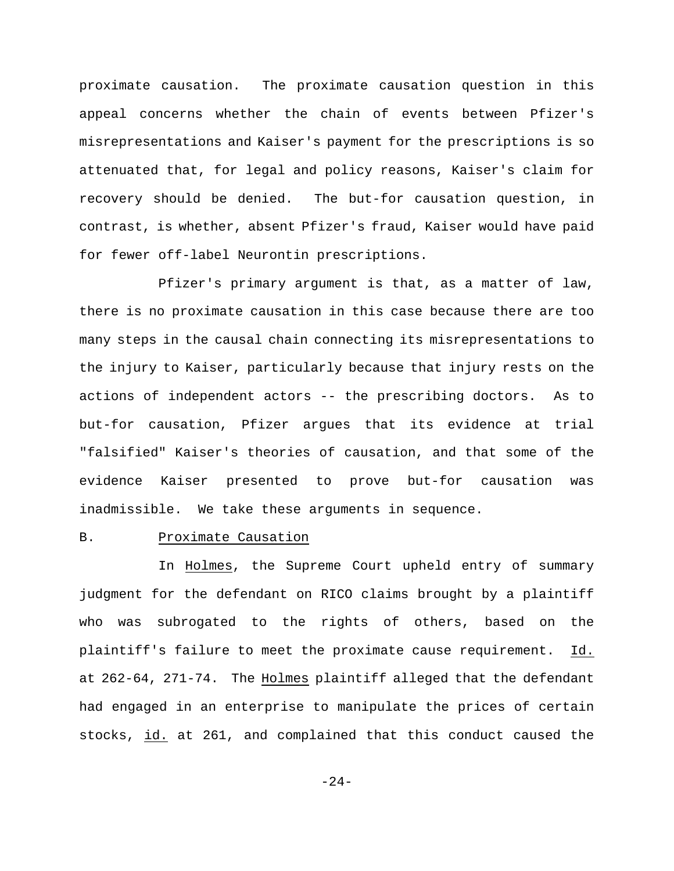proximate causation. The proximate causation question in this appeal concerns whether the chain of events between Pfizer's misrepresentations and Kaiser's payment for the prescriptions is so attenuated that, for legal and policy reasons, Kaiser's claim for recovery should be denied. The but-for causation question, in contrast, is whether, absent Pfizer's fraud, Kaiser would have paid for fewer off-label Neurontin prescriptions.

Pfizer's primary argument is that, as a matter of law, there is no proximate causation in this case because there are too many steps in the causal chain connecting its misrepresentations to the injury to Kaiser, particularly because that injury rests on the actions of independent actors -- the prescribing doctors. As to but-for causation, Pfizer argues that its evidence at trial "falsified" Kaiser's theories of causation, and that some of the evidence Kaiser presented to prove but-for causation was inadmissible. We take these arguments in sequence.

## B. Proximate Causation

In Holmes, the Supreme Court upheld entry of summary judgment for the defendant on RICO claims brought by a plaintiff who was subrogated to the rights of others, based on the plaintiff's failure to meet the proximate cause requirement. Id. at 262-64, 271-74. The Holmes plaintiff alleged that the defendant had engaged in an enterprise to manipulate the prices of certain stocks, id. at 261, and complained that this conduct caused the

 $-24-$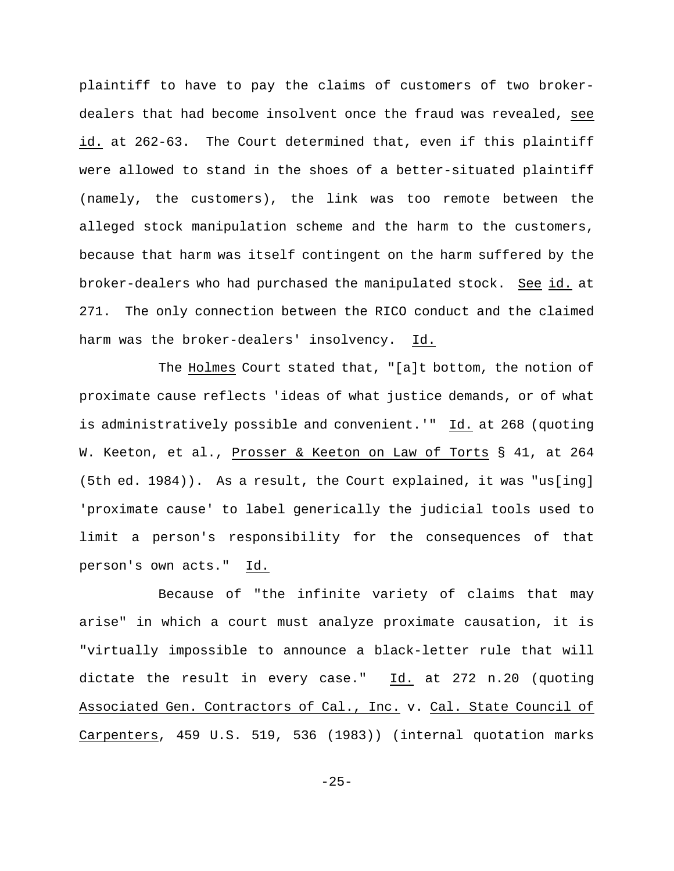plaintiff to have to pay the claims of customers of two brokerdealers that had become insolvent once the fraud was revealed, see id. at 262-63. The Court determined that, even if this plaintiff were allowed to stand in the shoes of a better-situated plaintiff (namely, the customers), the link was too remote between the alleged stock manipulation scheme and the harm to the customers, because that harm was itself contingent on the harm suffered by the broker-dealers who had purchased the manipulated stock. See id. at 271. The only connection between the RICO conduct and the claimed harm was the broker-dealers' insolvency. Id.

The Holmes Court stated that, "[a]t bottom, the notion of proximate cause reflects 'ideas of what justice demands, or of what is administratively possible and convenient.'" Id. at 268 (quoting W. Keeton, et al., Prosser & Keeton on Law of Torts § 41, at 264 (5th ed. 1984)). As a result, the Court explained, it was "us[ing] 'proximate cause' to label generically the judicial tools used to limit a person's responsibility for the consequences of that person's own acts." Id.

Because of "the infinite variety of claims that may arise" in which a court must analyze proximate causation, it is "virtually impossible to announce a black-letter rule that will dictate the result in every case." Id. at 272 n.20 (quoting Associated Gen. Contractors of Cal., Inc. v. Cal. State Council of Carpenters, 459 U.S. 519, 536 (1983)) (internal quotation marks

 $-25-$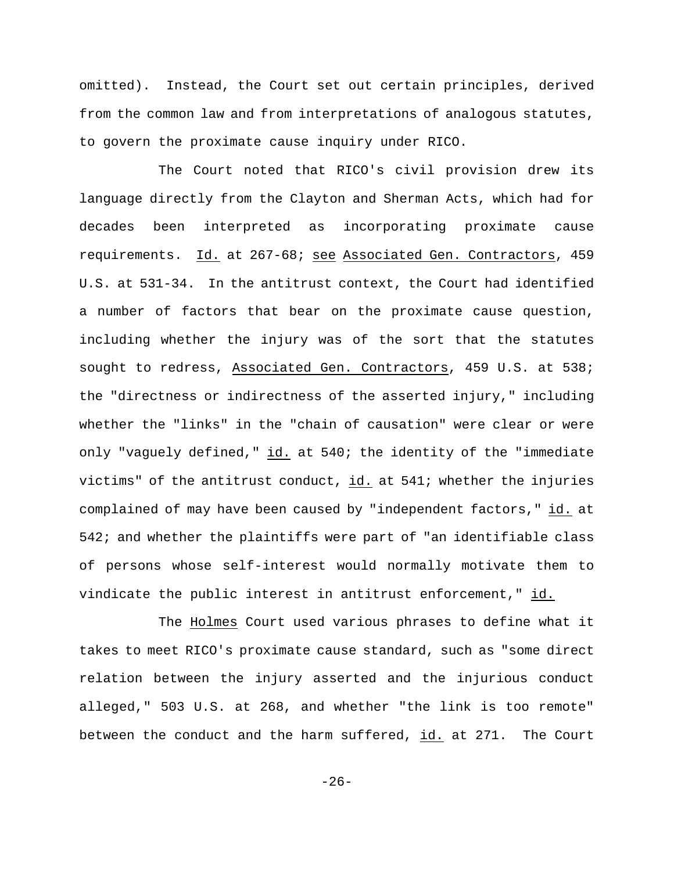omitted). Instead, the Court set out certain principles, derived from the common law and from interpretations of analogous statutes, to govern the proximate cause inquiry under RICO.

The Court noted that RICO's civil provision drew its language directly from the Clayton and Sherman Acts, which had for decades been interpreted as incorporating proximate cause requirements. Id. at 267-68; see Associated Gen. Contractors, 459 U.S. at 531-34. In the antitrust context, the Court had identified a number of factors that bear on the proximate cause question, including whether the injury was of the sort that the statutes sought to redress, Associated Gen. Contractors, 459 U.S. at 538; the "directness or indirectness of the asserted injury," including whether the "links" in the "chain of causation" were clear or were only "vaguely defined," id. at 540; the identity of the "immediate victims" of the antitrust conduct,  $id.$  at 541; whether the injuries complained of may have been caused by "independent factors," id. at 542; and whether the plaintiffs were part of "an identifiable class of persons whose self-interest would normally motivate them to vindicate the public interest in antitrust enforcement," id.

The Holmes Court used various phrases to define what it takes to meet RICO's proximate cause standard, such as "some direct relation between the injury asserted and the injurious conduct alleged," 503 U.S. at 268, and whether "the link is too remote" between the conduct and the harm suffered, id. at 271. The Court

 $-26-$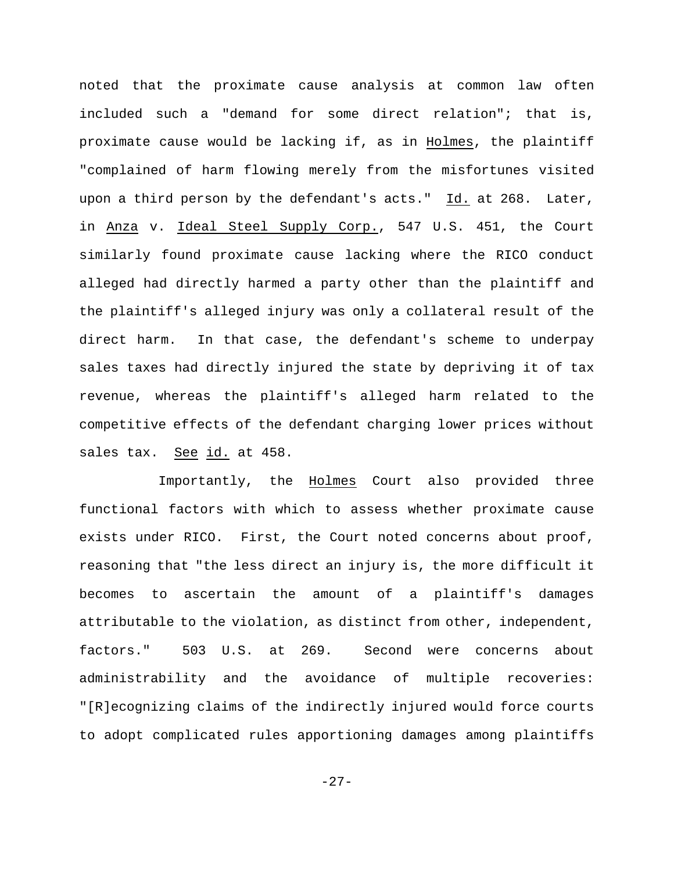noted that the proximate cause analysis at common law often included such a "demand for some direct relation"; that is, proximate cause would be lacking if, as in Holmes, the plaintiff "complained of harm flowing merely from the misfortunes visited upon a third person by the defendant's acts."  $Id.$  at 268. Later, in Anza v. Ideal Steel Supply Corp., 547 U.S. 451, the Court similarly found proximate cause lacking where the RICO conduct alleged had directly harmed a party other than the plaintiff and the plaintiff's alleged injury was only a collateral result of the direct harm. In that case, the defendant's scheme to underpay sales taxes had directly injured the state by depriving it of tax revenue, whereas the plaintiff's alleged harm related to the competitive effects of the defendant charging lower prices without sales tax. See id. at 458.

Importantly, the Holmes Court also provided three functional factors with which to assess whether proximate cause exists under RICO. First, the Court noted concerns about proof, reasoning that "the less direct an injury is, the more difficult it becomes to ascertain the amount of a plaintiff's damages attributable to the violation, as distinct from other, independent, factors." 503 U.S. at 269. Second were concerns about administrability and the avoidance of multiple recoveries: "[R]ecognizing claims of the indirectly injured would force courts to adopt complicated rules apportioning damages among plaintiffs

 $-27-$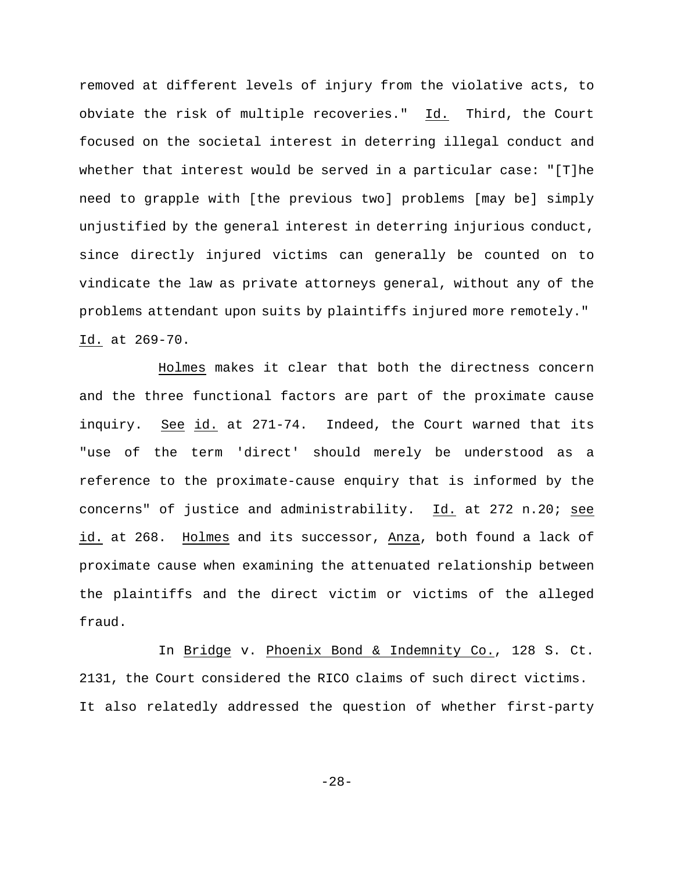removed at different levels of injury from the violative acts, to obviate the risk of multiple recoveries." Id. Third, the Court focused on the societal interest in deterring illegal conduct and whether that interest would be served in a particular case: "[T]he need to grapple with [the previous two] problems [may be] simply unjustified by the general interest in deterring injurious conduct, since directly injured victims can generally be counted on to vindicate the law as private attorneys general, without any of the problems attendant upon suits by plaintiffs injured more remotely." Id. at 269-70.

Holmes makes it clear that both the directness concern and the three functional factors are part of the proximate cause inquiry. See id. at 271-74. Indeed, the Court warned that its "use of the term 'direct' should merely be understood as a reference to the proximate-cause enquiry that is informed by the concerns" of justice and administrability. Id. at 272 n.20; see id. at 268. Holmes and its successor, Anza, both found a lack of proximate cause when examining the attenuated relationship between the plaintiffs and the direct victim or victims of the alleged fraud.

In Bridge v. Phoenix Bond & Indemnity Co., 128 S. Ct. 2131, the Court considered the RICO claims of such direct victims. It also relatedly addressed the question of whether first-party

-28-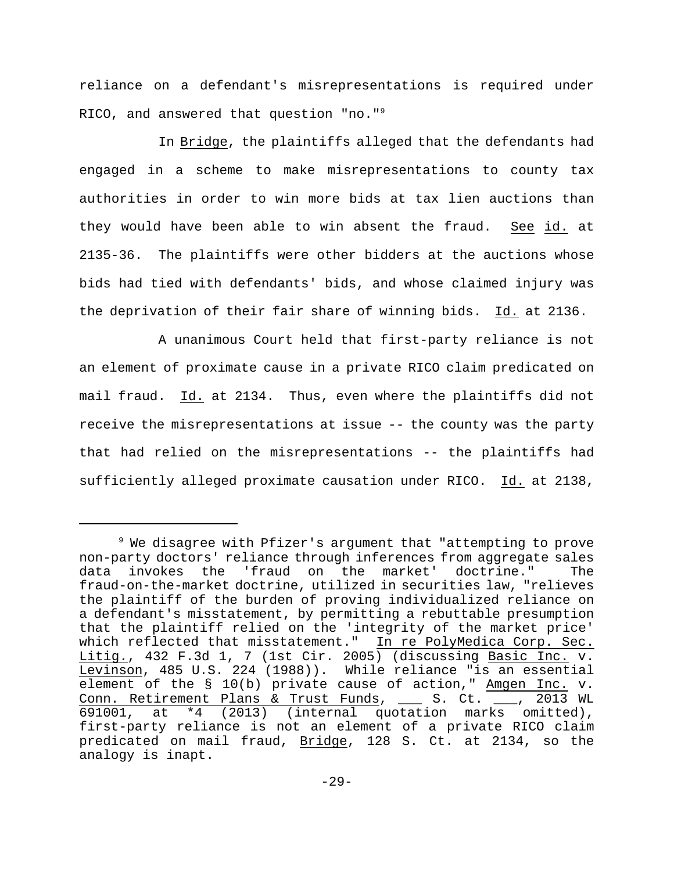reliance on a defendant's misrepresentations is required under RICO, and answered that question "no."<sup>9</sup>

In Bridge, the plaintiffs alleged that the defendants had engaged in a scheme to make misrepresentations to county tax authorities in order to win more bids at tax lien auctions than they would have been able to win absent the fraud. See id. at 2135-36. The plaintiffs were other bidders at the auctions whose bids had tied with defendants' bids, and whose claimed injury was the deprivation of their fair share of winning bids. Id. at 2136.

A unanimous Court held that first-party reliance is not an element of proximate cause in a private RICO claim predicated on mail fraud. Id. at 2134. Thus, even where the plaintiffs did not receive the misrepresentations at issue -- the county was the party that had relied on the misrepresentations -- the plaintiffs had sufficiently alleged proximate causation under RICO. Id. at 2138,

 $9$  We disagree with Pfizer's argument that "attempting to prove non-party doctors' reliance through inferences from aggregate sales data invokes the 'fraud on the market' doctrine." The fraud-on-the-market doctrine, utilized in securities law, "relieves the plaintiff of the burden of proving individualized reliance on a defendant's misstatement, by permitting a rebuttable presumption that the plaintiff relied on the 'integrity of the market price' which reflected that misstatement." In re PolyMedica Corp. Sec. Litig., 432 F.3d 1, 7 (1st Cir. 2005) (discussing Basic Inc. v. Levinson, 485 U.S. 224 (1988)). While reliance "is an essential element of the § 10(b) private cause of action," Amgen Inc. v. Conn. Retirement Plans & Trust Funds, \_\_\_ S. Ct. \_\_\_, 2013 WL 691001, at \*4 (2013) (internal quotation marks omitted), first-party reliance is not an element of a private RICO claim predicated on mail fraud, Bridge, 128 S. Ct. at 2134, so the analogy is inapt.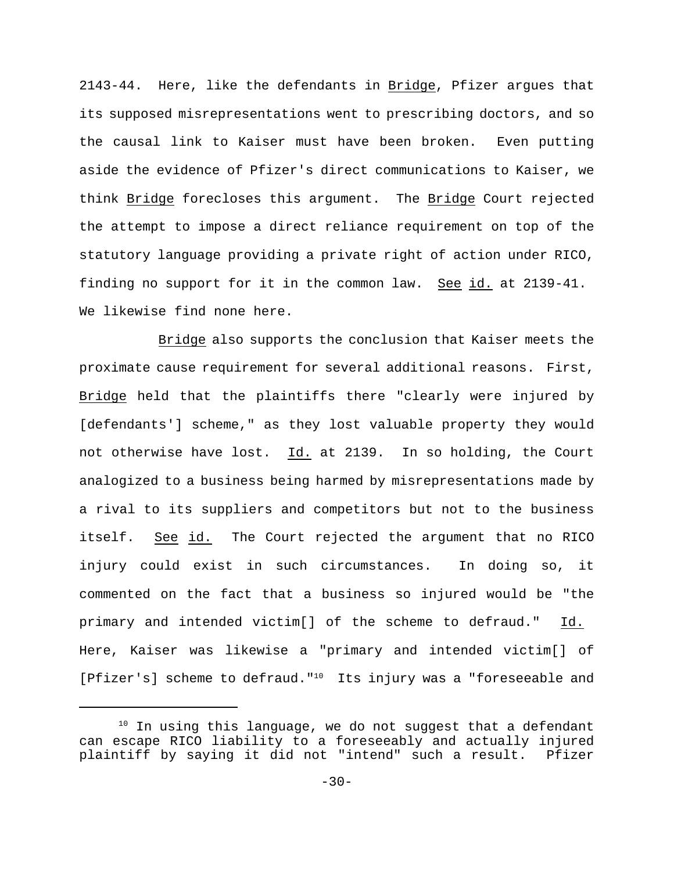2143-44. Here, like the defendants in Bridge, Pfizer argues that its supposed misrepresentations went to prescribing doctors, and so the causal link to Kaiser must have been broken. Even putting aside the evidence of Pfizer's direct communications to Kaiser, we think Bridge forecloses this argument. The Bridge Court rejected the attempt to impose a direct reliance requirement on top of the statutory language providing a private right of action under RICO, finding no support for it in the common law. See id. at 2139-41. We likewise find none here.

Bridge also supports the conclusion that Kaiser meets the proximate cause requirement for several additional reasons. First, Bridge held that the plaintiffs there "clearly were injured by [defendants'] scheme," as they lost valuable property they would not otherwise have lost. Id. at 2139. In so holding, the Court analogized to a business being harmed by misrepresentations made by a rival to its suppliers and competitors but not to the business itself. See id. The Court rejected the argument that no RICO injury could exist in such circumstances. In doing so, it commented on the fact that a business so injured would be "the primary and intended victim[] of the scheme to defraud." Id. Here, Kaiser was likewise a "primary and intended victim[] of [Pfizer's] scheme to defraud."<sup>10</sup> Its injury was a "foreseeable and

 $10$  In using this language, we do not suggest that a defendant can escape RICO liability to a foreseeably and actually injured plaintiff by saying it did not "intend" such a result. Pfizer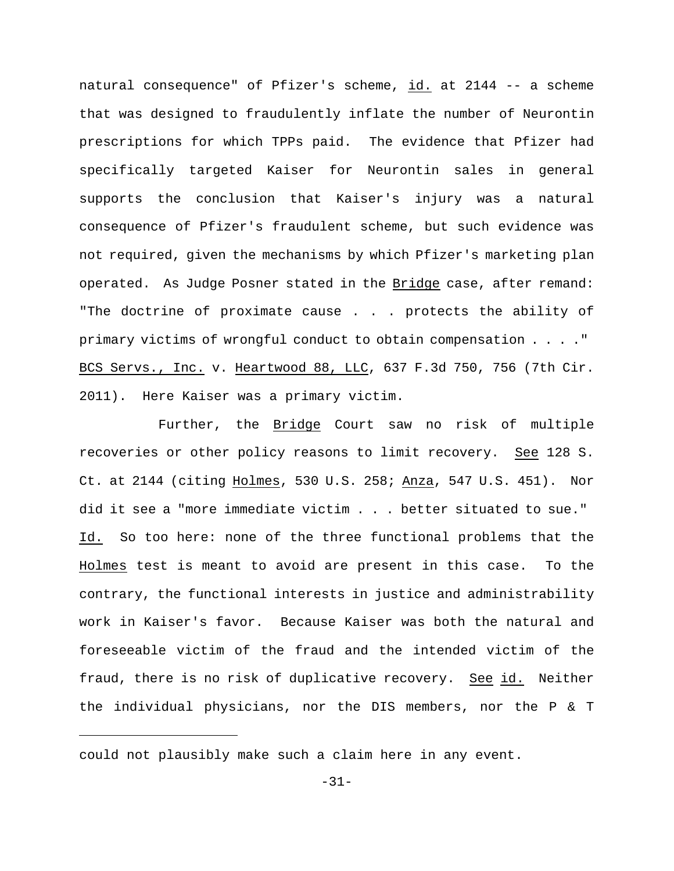natural consequence" of Pfizer's scheme, id. at 2144 -- a scheme that was designed to fraudulently inflate the number of Neurontin prescriptions for which TPPs paid. The evidence that Pfizer had specifically targeted Kaiser for Neurontin sales in general supports the conclusion that Kaiser's injury was a natural consequence of Pfizer's fraudulent scheme, but such evidence was not required, given the mechanisms by which Pfizer's marketing plan operated. As Judge Posner stated in the Bridge case, after remand: "The doctrine of proximate cause . . . protects the ability of primary victims of wrongful conduct to obtain compensation . . . ." BCS Servs., Inc. v. Heartwood 88, LLC, 637 F.3d 750, 756 (7th Cir. 2011). Here Kaiser was a primary victim.

Further, the Bridge Court saw no risk of multiple recoveries or other policy reasons to limit recovery. See 128 S. Ct. at 2144 (citing Holmes, 530 U.S. 258; Anza, 547 U.S. 451). Nor did it see a "more immediate victim . . . better situated to sue." Id. So too here: none of the three functional problems that the Holmes test is meant to avoid are present in this case. To the contrary, the functional interests in justice and administrability work in Kaiser's favor. Because Kaiser was both the natural and foreseeable victim of the fraud and the intended victim of the fraud, there is no risk of duplicative recovery. See id. Neither the individual physicians, nor the DIS members, nor the P & T

could not plausibly make such a claim here in any event.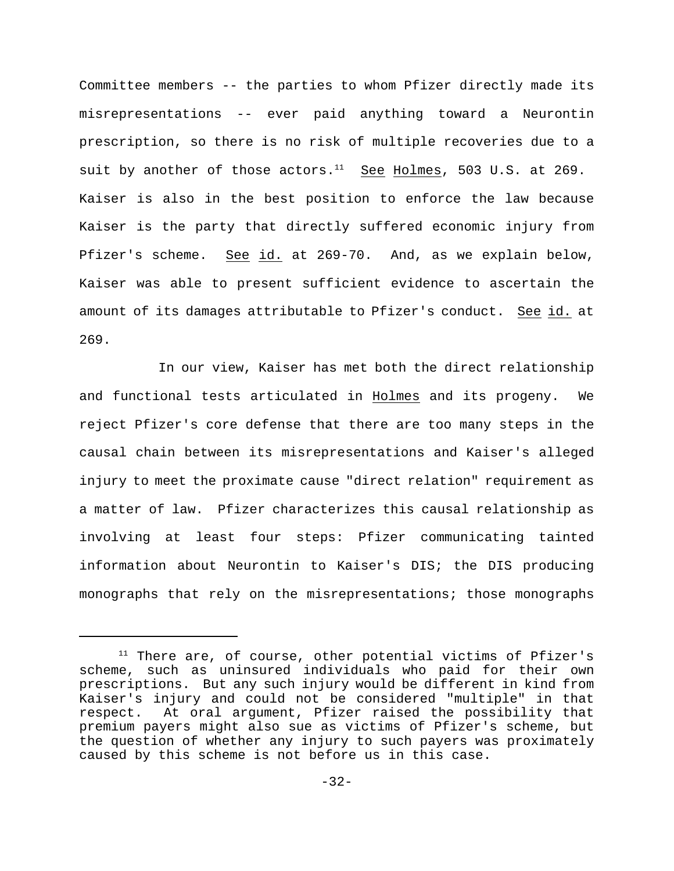Committee members -- the parties to whom Pfizer directly made its misrepresentations -- ever paid anything toward a Neurontin prescription, so there is no risk of multiple recoveries due to a suit by another of those actors. $^{11}$  See Holmes, 503 U.S. at 269. Kaiser is also in the best position to enforce the law because Kaiser is the party that directly suffered economic injury from Pfizer's scheme. See id. at 269-70. And, as we explain below, Kaiser was able to present sufficient evidence to ascertain the amount of its damages attributable to Pfizer's conduct. See id. at 269.

In our view, Kaiser has met both the direct relationship and functional tests articulated in Holmes and its progeny. We reject Pfizer's core defense that there are too many steps in the causal chain between its misrepresentations and Kaiser's alleged injury to meet the proximate cause "direct relation" requirement as a matter of law. Pfizer characterizes this causal relationship as involving at least four steps: Pfizer communicating tainted information about Neurontin to Kaiser's DIS; the DIS producing monographs that rely on the misrepresentations; those monographs

 $11$  There are, of course, other potential victims of Pfizer's scheme, such as uninsured individuals who paid for their own prescriptions. But any such injury would be different in kind from Kaiser's injury and could not be considered "multiple" in that respect. At oral argument, Pfizer raised the possibility that premium payers might also sue as victims of Pfizer's scheme, but the question of whether any injury to such payers was proximately caused by this scheme is not before us in this case.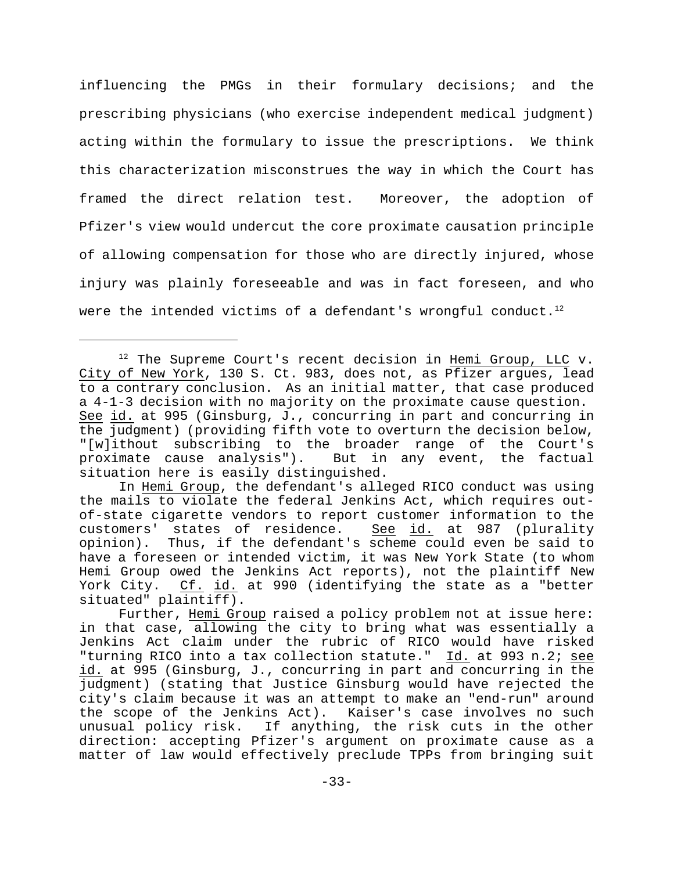influencing the PMGs in their formulary decisions; and the prescribing physicians (who exercise independent medical judgment) acting within the formulary to issue the prescriptions. We think this characterization misconstrues the way in which the Court has framed the direct relation test. Moreover, the adoption of Pfizer's view would undercut the core proximate causation principle of allowing compensation for those who are directly injured, whose injury was plainly foreseeable and was in fact foreseen, and who were the intended victims of a defendant's wrongful conduct.<sup>12</sup>

 $12$  The Supreme Court's recent decision in Hemi Group, LLC v. City of New York, 130 S. Ct. 983, does not, as Pfizer argues, lead to a contrary conclusion. As an initial matter, that case produced a 4-1-3 decision with no majority on the proximate cause question. See id. at 995 (Ginsburg, J., concurring in part and concurring in the judgment) (providing fifth vote to overturn the decision below, "[w]ithout subscribing to the broader range of the Court's proximate cause analysis"). But in any event, the factual situation here is easily distinguished.

In Hemi Group, the defendant's alleged RICO conduct was using the mails to violate the federal Jenkins Act, which requires outof-state cigarette vendors to report customer information to the customers' states of residence. See id. at 987 (plurality opinion). Thus, if the defendant's scheme could even be said to have a foreseen or intended victim, it was New York State (to whom Hemi Group owed the Jenkins Act reports), not the plaintiff New York City. Cf. id. at 990 (identifying the state as a "better situated" plaintiff).

Further, Hemi Group raised a policy problem not at issue here: in that case, allowing the city to bring what was essentially a Jenkins Act claim under the rubric of RICO would have risked "turning RICO into a tax collection statute." Id. at 993 n.2; see id. at 995 (Ginsburg, J., concurring in part and concurring in the judgment) (stating that Justice Ginsburg would have rejected the city's claim because it was an attempt to make an "end-run" around the scope of the Jenkins Act). Kaiser's case involves no such unusual policy risk. If anything, the risk cuts in the other direction: accepting Pfizer's argument on proximate cause as a matter of law would effectively preclude TPPs from bringing suit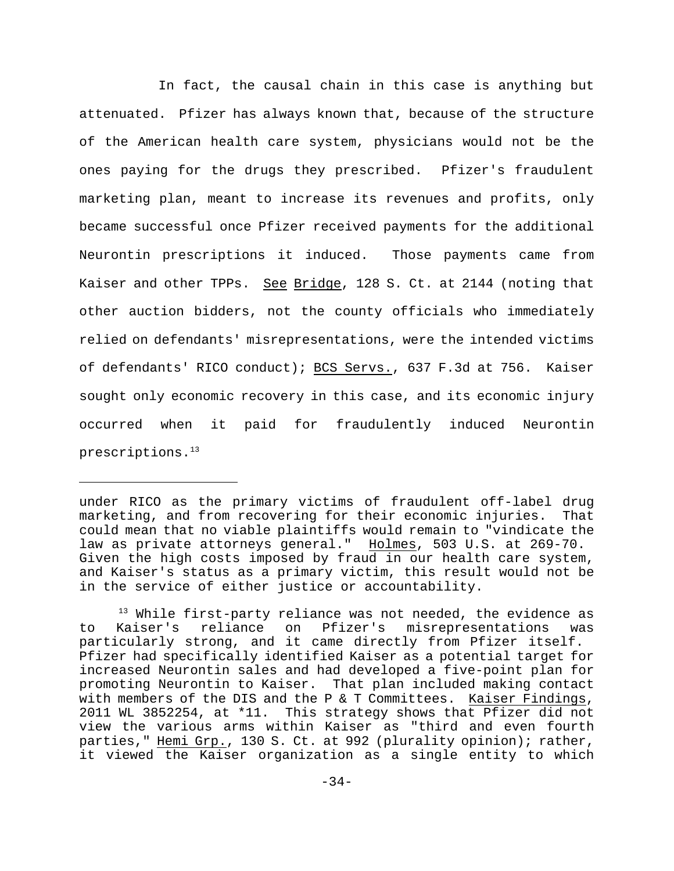In fact, the causal chain in this case is anything but attenuated. Pfizer has always known that, because of the structure of the American health care system, physicians would not be the ones paying for the drugs they prescribed. Pfizer's fraudulent marketing plan, meant to increase its revenues and profits, only became successful once Pfizer received payments for the additional Neurontin prescriptions it induced. Those payments came from Kaiser and other TPPs. See Bridge, 128 S. Ct. at 2144 (noting that other auction bidders, not the county officials who immediately relied on defendants' misrepresentations, were the intended victims of defendants' RICO conduct); BCS Servs., 637 F.3d at 756. Kaiser sought only economic recovery in this case, and its economic injury occurred when it paid for fraudulently induced Neurontin prescriptions.<sup>13</sup>

under RICO as the primary victims of fraudulent off-label drug marketing, and from recovering for their economic injuries. That could mean that no viable plaintiffs would remain to "vindicate the law as private attorneys general." Holmes, 503 U.S. at 269-70. Given the high costs imposed by fraud in our health care system, and Kaiser's status as a primary victim, this result would not be in the service of either justice or accountability.

 $13$  While first-party reliance was not needed, the evidence as to Kaiser's reliance on Pfizer's misrepresentations was particularly strong, and it came directly from Pfizer itself. Pfizer had specifically identified Kaiser as a potential target for increased Neurontin sales and had developed a five-point plan for promoting Neurontin to Kaiser. That plan included making contact with members of the DIS and the P & T Committees. Kaiser Findings, 2011 WL 3852254, at \*11. This strategy shows that Pfizer did not view the various arms within Kaiser as "third and even fourth parties," Hemi Grp., 130 S. Ct. at 992 (plurality opinion); rather, it viewed the Kaiser organization as a single entity to which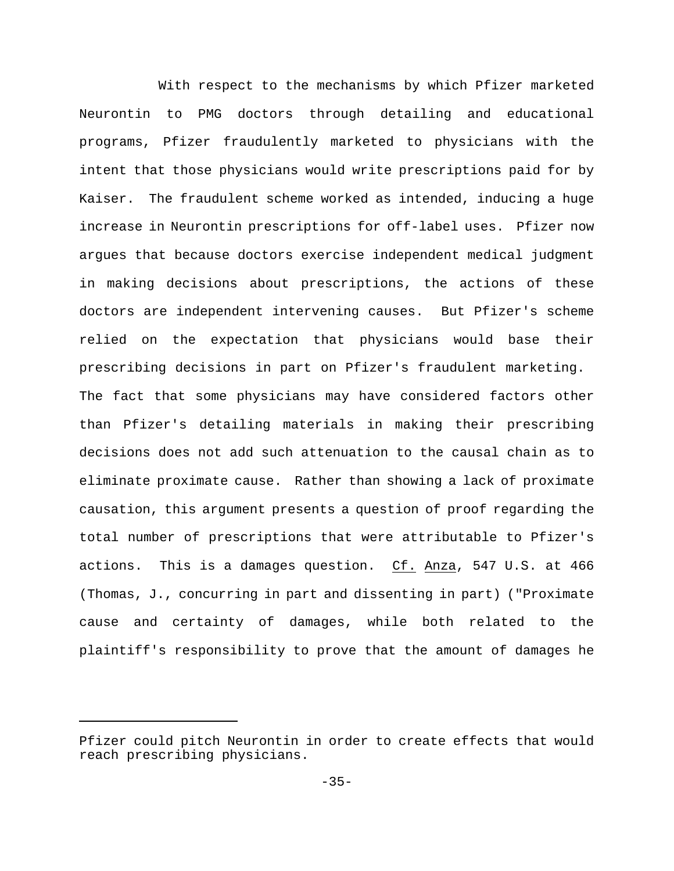With respect to the mechanisms by which Pfizer marketed Neurontin to PMG doctors through detailing and educational programs, Pfizer fraudulently marketed to physicians with the intent that those physicians would write prescriptions paid for by Kaiser. The fraudulent scheme worked as intended, inducing a huge increase in Neurontin prescriptions for off-label uses. Pfizer now argues that because doctors exercise independent medical judgment in making decisions about prescriptions, the actions of these doctors are independent intervening causes. But Pfizer's scheme relied on the expectation that physicians would base their prescribing decisions in part on Pfizer's fraudulent marketing. The fact that some physicians may have considered factors other than Pfizer's detailing materials in making their prescribing decisions does not add such attenuation to the causal chain as to eliminate proximate cause. Rather than showing a lack of proximate causation, this argument presents a question of proof regarding the total number of prescriptions that were attributable to Pfizer's actions. This is a damages question. Cf. Anza, 547 U.S. at 466 (Thomas, J., concurring in part and dissenting in part) ("Proximate cause and certainty of damages, while both related to the plaintiff's responsibility to prove that the amount of damages he

Pfizer could pitch Neurontin in order to create effects that would reach prescribing physicians.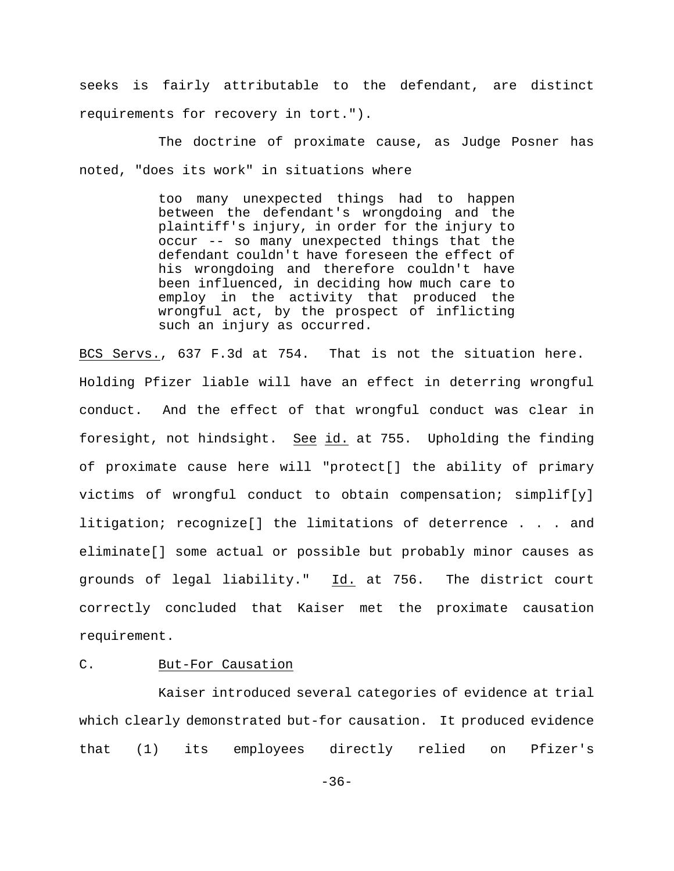seeks is fairly attributable to the defendant, are distinct requirements for recovery in tort.").

The doctrine of proximate cause, as Judge Posner has noted, "does its work" in situations where

> too many unexpected things had to happen between the defendant's wrongdoing and the plaintiff's injury, in order for the injury to occur -- so many unexpected things that the defendant couldn't have foreseen the effect of his wrongdoing and therefore couldn't have been influenced, in deciding how much care to employ in the activity that produced the wrongful act, by the prospect of inflicting such an injury as occurred.

BCS Servs., 637 F.3d at 754. That is not the situation here. Holding Pfizer liable will have an effect in deterring wrongful conduct. And the effect of that wrongful conduct was clear in foresight, not hindsight. See id. at 755. Upholding the finding of proximate cause here will "protect[] the ability of primary victims of wrongful conduct to obtain compensation; simplif[y] litigation; recognize[] the limitations of deterrence . . . and eliminate[] some actual or possible but probably minor causes as grounds of legal liability." Id. at 756. The district court correctly concluded that Kaiser met the proximate causation requirement.

# C. But-For Causation

Kaiser introduced several categories of evidence at trial which clearly demonstrated but-for causation. It produced evidence that (1) its employees directly relied on Pfizer's

-36-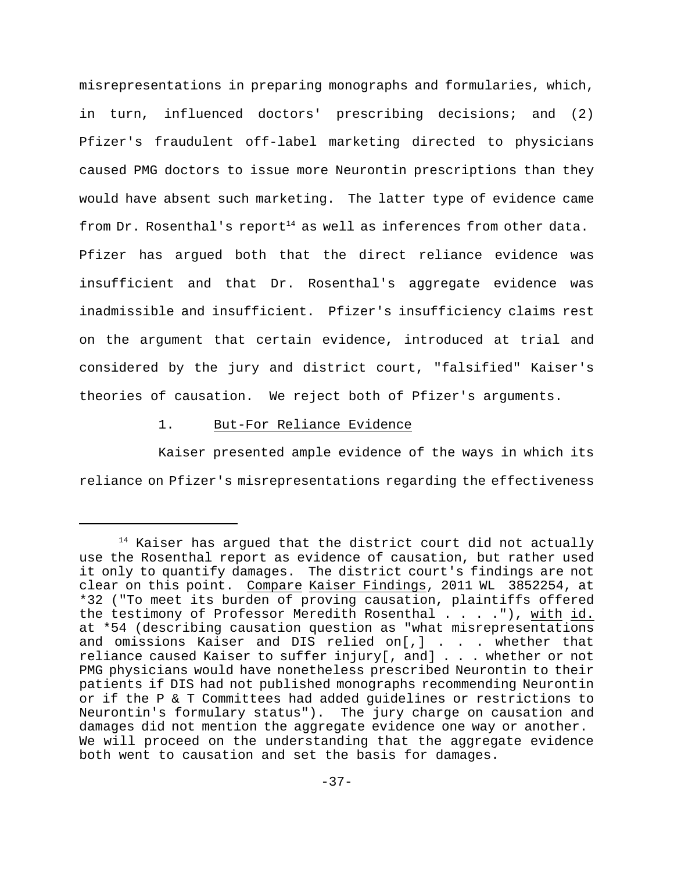misrepresentations in preparing monographs and formularies, which, in turn, influenced doctors' prescribing decisions; and (2) Pfizer's fraudulent off-label marketing directed to physicians caused PMG doctors to issue more Neurontin prescriptions than they would have absent such marketing. The latter type of evidence came from Dr. Rosenthal's report<sup>14</sup> as well as inferences from other data. Pfizer has argued both that the direct reliance evidence was insufficient and that Dr. Rosenthal's aggregate evidence was inadmissible and insufficient. Pfizer's insufficiency claims rest on the argument that certain evidence, introduced at trial and considered by the jury and district court, "falsified" Kaiser's theories of causation. We reject both of Pfizer's arguments.

# 1. But-For Reliance Evidence

Kaiser presented ample evidence of the ways in which its reliance on Pfizer's misrepresentations regarding the effectiveness

 $14$  Kaiser has argued that the district court did not actually use the Rosenthal report as evidence of causation, but rather used it only to quantify damages. The district court's findings are not clear on this point. Compare Kaiser Findings, 2011 WL 3852254, at \*32 ("To meet its burden of proving causation, plaintiffs offered the testimony of Professor Meredith Rosenthal  $\ldots$ . .., with id. at \*54 (describing causation question as "what misrepresentations and omissions Kaiser and DIS relied on[,] . . . whether that reliance caused Kaiser to suffer injury[, and] . . . whether or not PMG physicians would have nonetheless prescribed Neurontin to their patients if DIS had not published monographs recommending Neurontin or if the P & T Committees had added guidelines or restrictions to Neurontin's formulary status"). The jury charge on causation and damages did not mention the aggregate evidence one way or another. We will proceed on the understanding that the aggregate evidence both went to causation and set the basis for damages.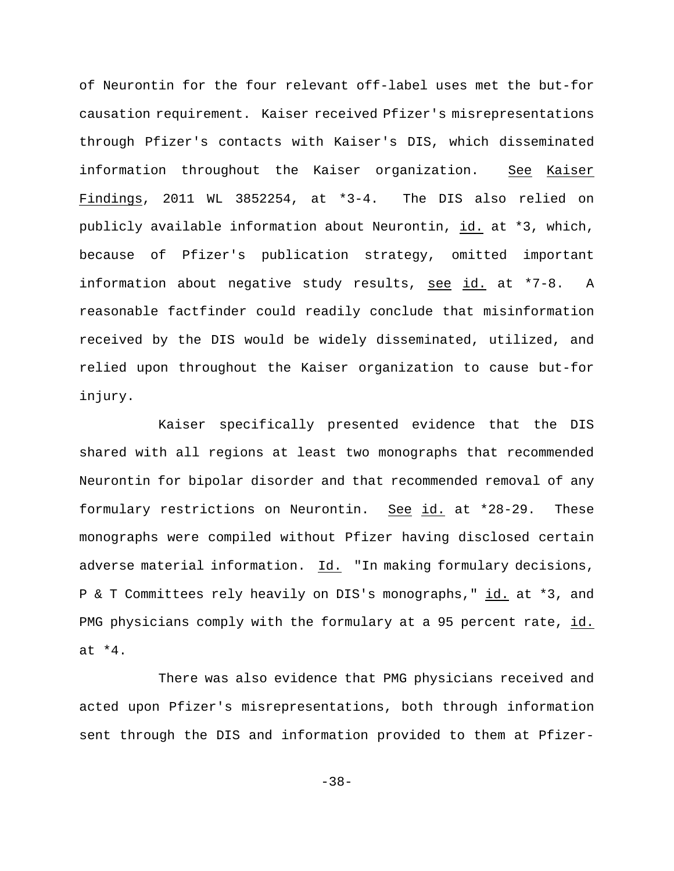of Neurontin for the four relevant off-label uses met the but-for causation requirement. Kaiser received Pfizer's misrepresentations through Pfizer's contacts with Kaiser's DIS, which disseminated information throughout the Kaiser organization. See Kaiser Findings, 2011 WL 3852254, at \*3-4. The DIS also relied on publicly available information about Neurontin, id. at \*3, which, because of Pfizer's publication strategy, omitted important information about negative study results, see id. at \*7-8. A reasonable factfinder could readily conclude that misinformation received by the DIS would be widely disseminated, utilized, and relied upon throughout the Kaiser organization to cause but-for injury.

Kaiser specifically presented evidence that the DIS shared with all regions at least two monographs that recommended Neurontin for bipolar disorder and that recommended removal of any formulary restrictions on Neurontin. See id. at \*28-29. These monographs were compiled without Pfizer having disclosed certain adverse material information. Id. "In making formulary decisions, P & T Committees rely heavily on DIS's monographs," id. at \*3, and PMG physicians comply with the formulary at a 95 percent rate, id. at \*4.

There was also evidence that PMG physicians received and acted upon Pfizer's misrepresentations, both through information sent through the DIS and information provided to them at Pfizer-

-38-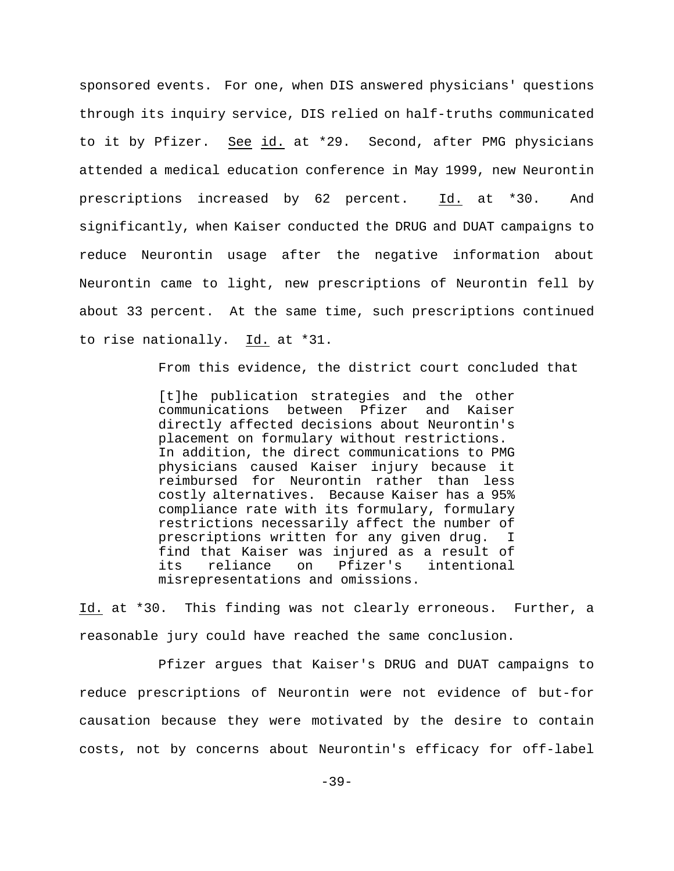sponsored events. For one, when DIS answered physicians' questions through its inquiry service, DIS relied on half-truths communicated to it by Pfizer. See id. at \*29. Second, after PMG physicians attended a medical education conference in May 1999, new Neurontin prescriptions increased by 62 percent. Id. at \*30. And significantly, when Kaiser conducted the DRUG and DUAT campaigns to reduce Neurontin usage after the negative information about Neurontin came to light, new prescriptions of Neurontin fell by about 33 percent. At the same time, such prescriptions continued to rise nationally. Id. at \*31.

From this evidence, the district court concluded that

[t]he publication strategies and the other communications between Pfizer and Kaiser directly affected decisions about Neurontin's placement on formulary without restrictions. In addition, the direct communications to PMG physicians caused Kaiser injury because it reimbursed for Neurontin rather than less costly alternatives. Because Kaiser has a 95% compliance rate with its formulary, formulary restrictions necessarily affect the number of prescriptions written for any given drug. I find that Kaiser was injured as a result of its reliance on Pfizer's intentional misrepresentations and omissions.

Id. at \*30. This finding was not clearly erroneous. Further, a reasonable jury could have reached the same conclusion.

Pfizer argues that Kaiser's DRUG and DUAT campaigns to reduce prescriptions of Neurontin were not evidence of but-for causation because they were motivated by the desire to contain costs, not by concerns about Neurontin's efficacy for off-label

-39-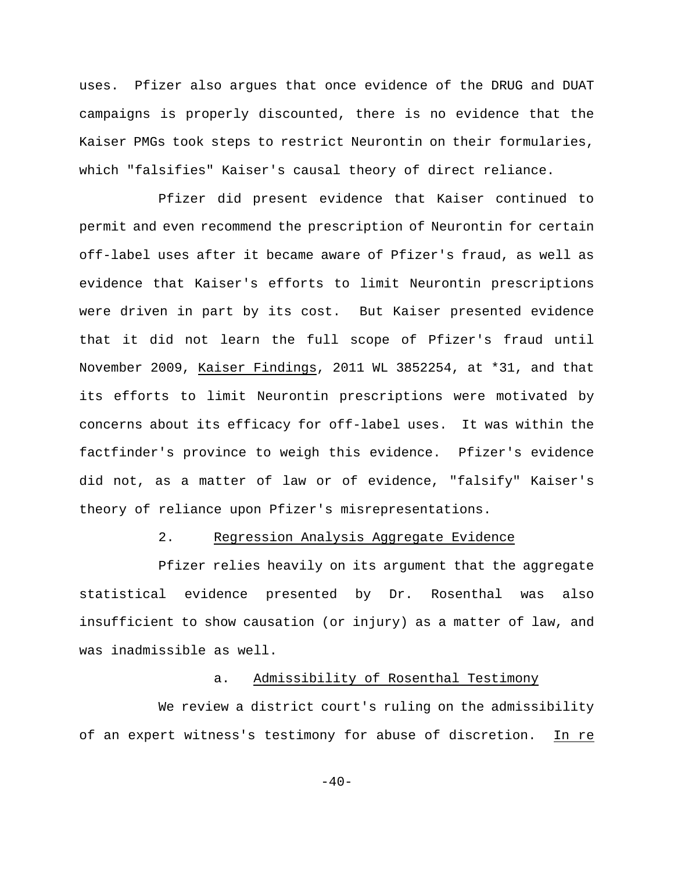uses. Pfizer also argues that once evidence of the DRUG and DUAT campaigns is properly discounted, there is no evidence that the Kaiser PMGs took steps to restrict Neurontin on their formularies, which "falsifies" Kaiser's causal theory of direct reliance.

Pfizer did present evidence that Kaiser continued to permit and even recommend the prescription of Neurontin for certain off-label uses after it became aware of Pfizer's fraud, as well as evidence that Kaiser's efforts to limit Neurontin prescriptions were driven in part by its cost. But Kaiser presented evidence that it did not learn the full scope of Pfizer's fraud until November 2009, Kaiser Findings, 2011 WL 3852254, at \*31, and that its efforts to limit Neurontin prescriptions were motivated by concerns about its efficacy for off-label uses. It was within the factfinder's province to weigh this evidence. Pfizer's evidence did not, as a matter of law or of evidence, "falsify" Kaiser's theory of reliance upon Pfizer's misrepresentations.

# 2. Regression Analysis Aggregate Evidence

Pfizer relies heavily on its argument that the aggregate statistical evidence presented by Dr. Rosenthal was also insufficient to show causation (or injury) as a matter of law, and was inadmissible as well.

## a. Admissibility of Rosenthal Testimony

We review a district court's ruling on the admissibility of an expert witness's testimony for abuse of discretion. In re

 $-40-$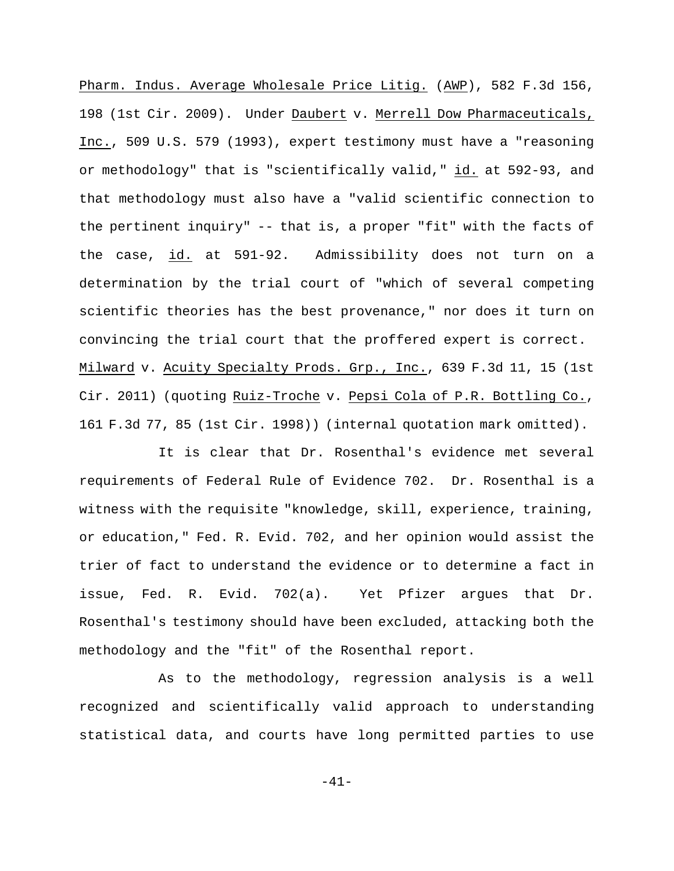Pharm. Indus. Average Wholesale Price Litig. (AWP), 582 F.3d 156, 198 (1st Cir. 2009). Under Daubert v. Merrell Dow Pharmaceuticals, Inc., 509 U.S. 579 (1993), expert testimony must have a "reasoning or methodology" that is "scientifically valid," id. at 592-93, and that methodology must also have a "valid scientific connection to the pertinent inquiry" -- that is, a proper "fit" with the facts of the case, id. at 591-92. Admissibility does not turn on a determination by the trial court of "which of several competing scientific theories has the best provenance," nor does it turn on convincing the trial court that the proffered expert is correct. Milward v. Acuity Specialty Prods. Grp., Inc., 639 F.3d 11, 15 (1st Cir. 2011) (quoting Ruiz-Troche v. Pepsi Cola of P.R. Bottling Co., 161 F.3d 77, 85 (1st Cir. 1998)) (internal quotation mark omitted).

It is clear that Dr. Rosenthal's evidence met several requirements of Federal Rule of Evidence 702. Dr. Rosenthal is a witness with the requisite "knowledge, skill, experience, training, or education," Fed. R. Evid. 702, and her opinion would assist the trier of fact to understand the evidence or to determine a fact in issue, Fed. R. Evid. 702(a). Yet Pfizer argues that Dr. Rosenthal's testimony should have been excluded, attacking both the methodology and the "fit" of the Rosenthal report.

As to the methodology, regression analysis is a well recognized and scientifically valid approach to understanding statistical data, and courts have long permitted parties to use

-41-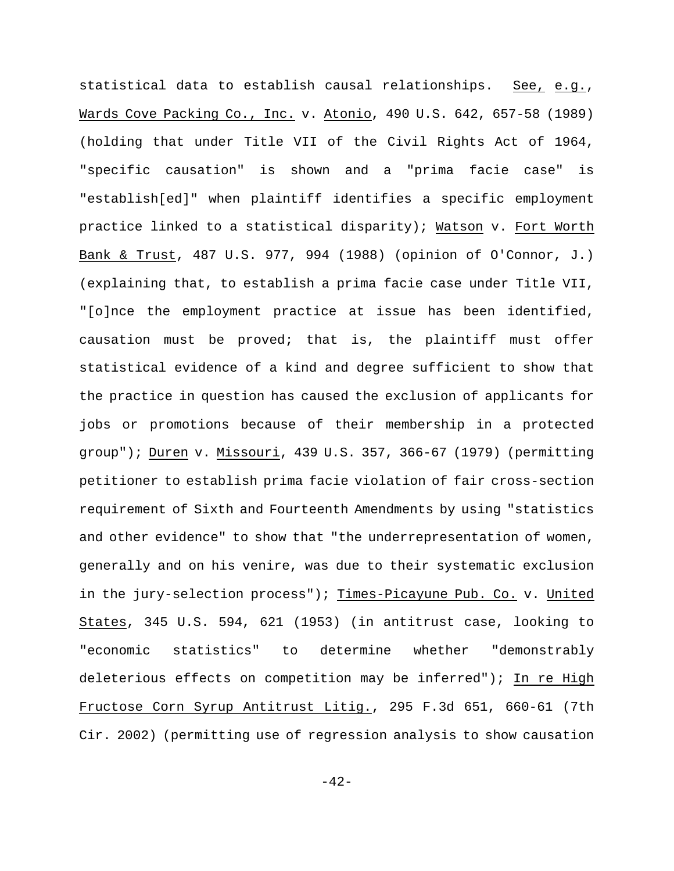statistical data to establish causal relationships. See, e.g., Wards Cove Packing Co., Inc. v. Atonio, 490 U.S. 642, 657-58 (1989) (holding that under Title VII of the Civil Rights Act of 1964, "specific causation" is shown and a "prima facie case" is "establish[ed]" when plaintiff identifies a specific employment practice linked to a statistical disparity); Watson v. Fort Worth Bank & Trust, 487 U.S. 977, 994 (1988) (opinion of O'Connor, J.) (explaining that, to establish a prima facie case under Title VII, "[o]nce the employment practice at issue has been identified, causation must be proved; that is, the plaintiff must offer statistical evidence of a kind and degree sufficient to show that the practice in question has caused the exclusion of applicants for jobs or promotions because of their membership in a protected group"); Duren v. Missouri, 439 U.S. 357, 366-67 (1979) (permitting petitioner to establish prima facie violation of fair cross-section requirement of Sixth and Fourteenth Amendments by using "statistics and other evidence" to show that "the underrepresentation of women, generally and on his venire, was due to their systematic exclusion in the jury-selection process"); Times-Picayune Pub. Co. v. United States, 345 U.S. 594, 621 (1953) (in antitrust case, looking to "economic statistics" to determine whether "demonstrably deleterious effects on competition may be inferred"); In re High Fructose Corn Syrup Antitrust Litig., 295 F.3d 651, 660-61 (7th Cir. 2002) (permitting use of regression analysis to show causation

 $-42-$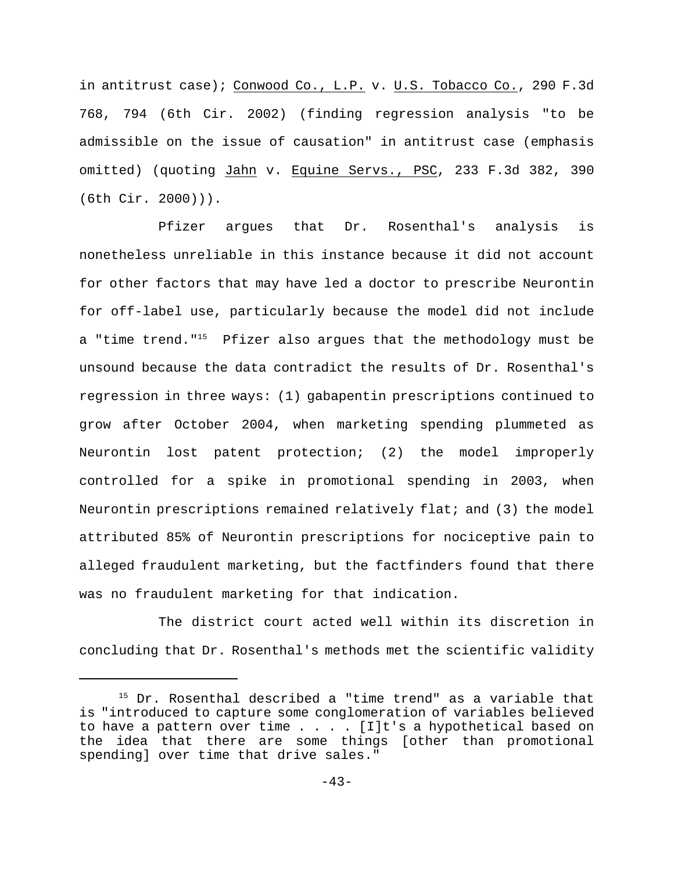in antitrust case); Conwood Co., L.P. v. U.S. Tobacco Co., 290 F.3d 768, 794 (6th Cir. 2002) (finding regression analysis "to be admissible on the issue of causation" in antitrust case (emphasis omitted) (quoting Jahn v. Equine Servs., PSC, 233 F.3d 382, 390 (6th Cir. 2000))).

Pfizer argues that Dr. Rosenthal's analysis is nonetheless unreliable in this instance because it did not account for other factors that may have led a doctor to prescribe Neurontin for off-label use, particularly because the model did not include a "time trend."<sup>15</sup> Pfizer also argues that the methodology must be unsound because the data contradict the results of Dr. Rosenthal's regression in three ways: (1) gabapentin prescriptions continued to grow after October 2004, when marketing spending plummeted as Neurontin lost patent protection; (2) the model improperly controlled for a spike in promotional spending in 2003, when Neurontin prescriptions remained relatively flat; and (3) the model attributed 85% of Neurontin prescriptions for nociceptive pain to alleged fraudulent marketing, but the factfinders found that there was no fraudulent marketing for that indication.

The district court acted well within its discretion in concluding that Dr. Rosenthal's methods met the scientific validity

 $15$  Dr. Rosenthal described a "time trend" as a variable that is "introduced to capture some conglomeration of variables believed to have a pattern over time . . . . [I]t's a hypothetical based on the idea that there are some things [other than promotional spending] over time that drive sales."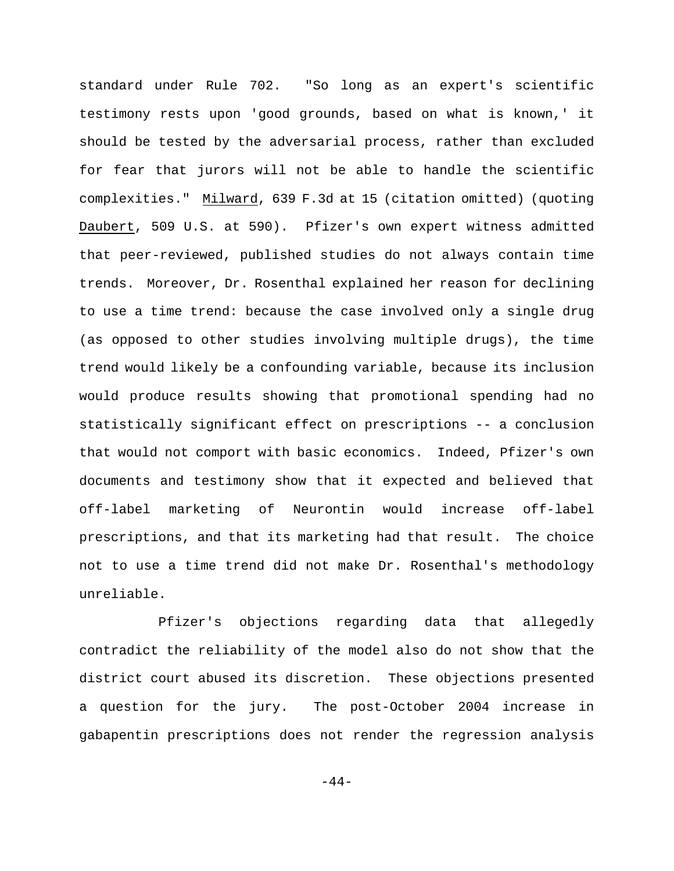standard under Rule 702. "So long as an expert's scientific testimony rests upon 'good grounds, based on what is known,' it should be tested by the adversarial process, rather than excluded for fear that jurors will not be able to handle the scientific complexities." Milward, 639 F.3d at 15 (citation omitted) (quoting Daubert, 509 U.S. at 590). Pfizer's own expert witness admitted that peer-reviewed, published studies do not always contain time trends. Moreover, Dr. Rosenthal explained her reason for declining to use a time trend: because the case involved only a single drug (as opposed to other studies involving multiple drugs), the time trend would likely be a confounding variable, because its inclusion would produce results showing that promotional spending had no statistically significant effect on prescriptions -- a conclusion that would not comport with basic economics. Indeed, Pfizer's own documents and testimony show that it expected and believed that off-label marketing of Neurontin would increase off-label prescriptions, and that its marketing had that result. The choice not to use a time trend did not make Dr. Rosenthal's methodology unreliable.

Pfizer's objections regarding data that allegedly contradict the reliability of the model also do not show that the district court abused its discretion. These objections presented a question for the jury. The post-October 2004 increase in gabapentin prescriptions does not render the regression analysis

 $-44-$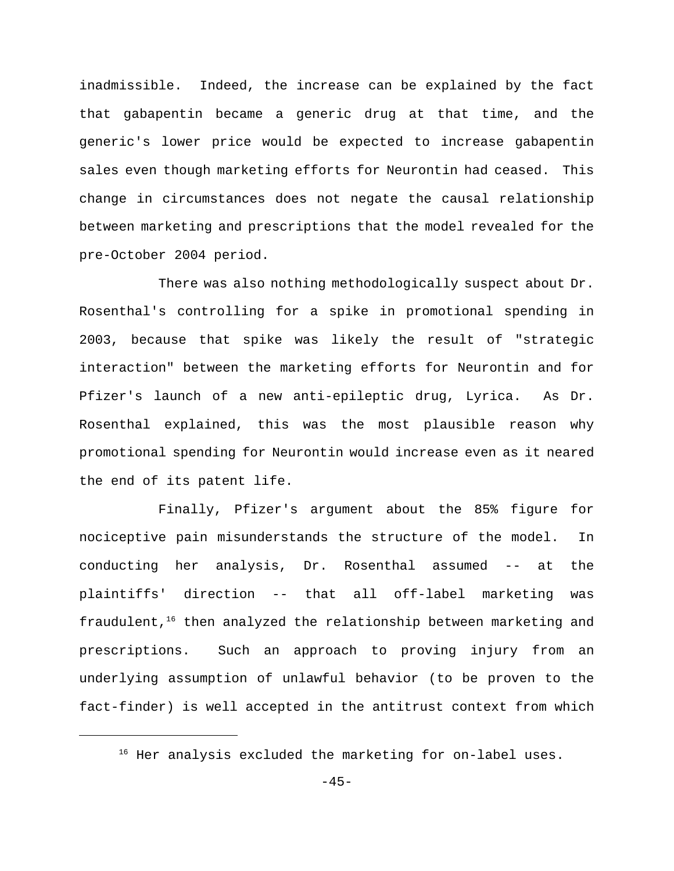inadmissible. Indeed, the increase can be explained by the fact that gabapentin became a generic drug at that time, and the generic's lower price would be expected to increase gabapentin sales even though marketing efforts for Neurontin had ceased. This change in circumstances does not negate the causal relationship between marketing and prescriptions that the model revealed for the pre-October 2004 period.

There was also nothing methodologically suspect about Dr. Rosenthal's controlling for a spike in promotional spending in 2003, because that spike was likely the result of "strategic interaction" between the marketing efforts for Neurontin and for Pfizer's launch of a new anti-epileptic drug, Lyrica. As Dr. Rosenthal explained, this was the most plausible reason why promotional spending for Neurontin would increase even as it neared the end of its patent life.

Finally, Pfizer's argument about the 85% figure for nociceptive pain misunderstands the structure of the model. In conducting her analysis, Dr. Rosenthal assumed -- at the plaintiffs' direction -- that all off-label marketing was fraudulent, $16$  then analyzed the relationship between marketing and prescriptions. Such an approach to proving injury from an underlying assumption of unlawful behavior (to be proven to the fact-finder) is well accepted in the antitrust context from which

 $16$  Her analysis excluded the marketing for on-label uses.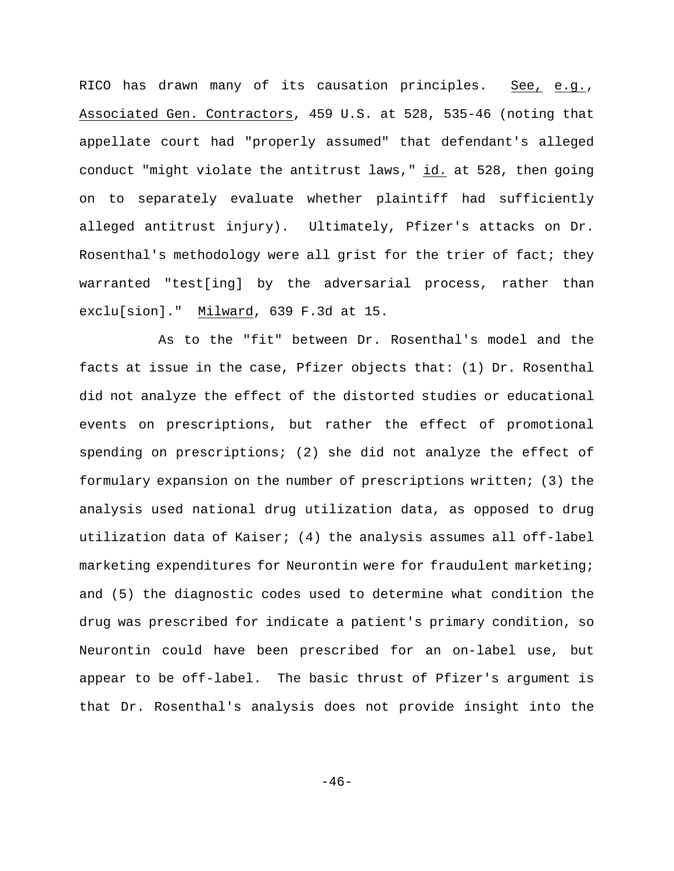RICO has drawn many of its causation principles. See, e.g., Associated Gen. Contractors, 459 U.S. at 528, 535-46 (noting that appellate court had "properly assumed" that defendant's alleged conduct "might violate the antitrust laws," id. at 528, then going on to separately evaluate whether plaintiff had sufficiently alleged antitrust injury). Ultimately, Pfizer's attacks on Dr. Rosenthal's methodology were all grist for the trier of fact; they warranted "test[ing] by the adversarial process, rather than exclu[sion]." Milward, 639 F.3d at 15.

As to the "fit" between Dr. Rosenthal's model and the facts at issue in the case, Pfizer objects that: (1) Dr. Rosenthal did not analyze the effect of the distorted studies or educational events on prescriptions, but rather the effect of promotional spending on prescriptions; (2) she did not analyze the effect of formulary expansion on the number of prescriptions written; (3) the analysis used national drug utilization data, as opposed to drug utilization data of Kaiser; (4) the analysis assumes all off-label marketing expenditures for Neurontin were for fraudulent marketing; and (5) the diagnostic codes used to determine what condition the drug was prescribed for indicate a patient's primary condition, so Neurontin could have been prescribed for an on-label use, but appear to be off-label. The basic thrust of Pfizer's argument is that Dr. Rosenthal's analysis does not provide insight into the

 $-46-$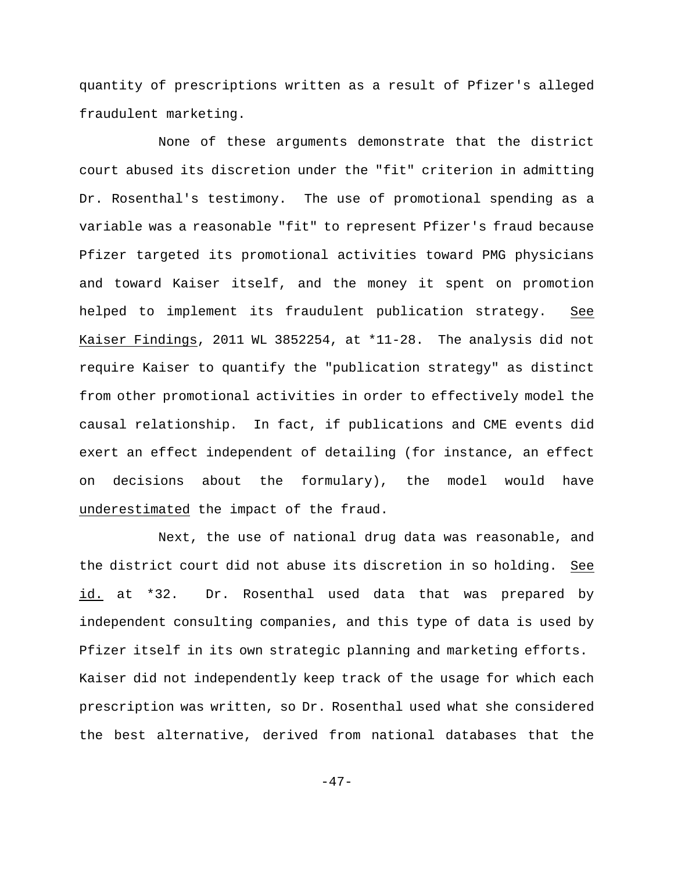quantity of prescriptions written as a result of Pfizer's alleged fraudulent marketing.

None of these arguments demonstrate that the district court abused its discretion under the "fit" criterion in admitting Dr. Rosenthal's testimony. The use of promotional spending as a variable was a reasonable "fit" to represent Pfizer's fraud because Pfizer targeted its promotional activities toward PMG physicians and toward Kaiser itself, and the money it spent on promotion helped to implement its fraudulent publication strategy. See Kaiser Findings, 2011 WL 3852254, at \*11-28. The analysis did not require Kaiser to quantify the "publication strategy" as distinct from other promotional activities in order to effectively model the causal relationship. In fact, if publications and CME events did exert an effect independent of detailing (for instance, an effect on decisions about the formulary), the model would have underestimated the impact of the fraud.

Next, the use of national drug data was reasonable, and the district court did not abuse its discretion in so holding. See id. at \*32. Dr. Rosenthal used data that was prepared by independent consulting companies, and this type of data is used by Pfizer itself in its own strategic planning and marketing efforts. Kaiser did not independently keep track of the usage for which each prescription was written, so Dr. Rosenthal used what she considered the best alternative, derived from national databases that the

 $-47-$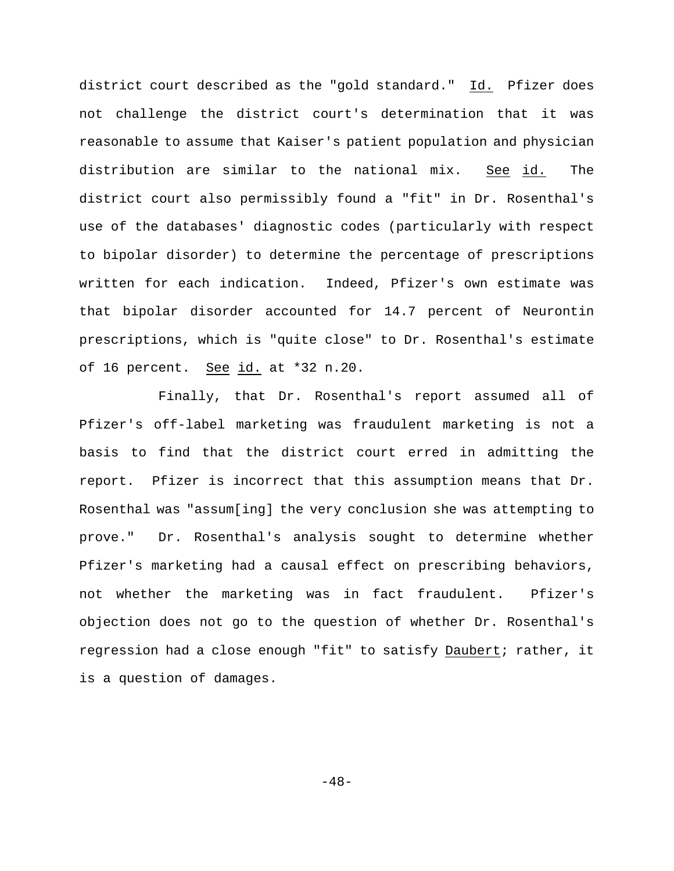district court described as the "gold standard." Id. Pfizer does not challenge the district court's determination that it was reasonable to assume that Kaiser's patient population and physician distribution are similar to the national mix. See id. The district court also permissibly found a "fit" in Dr. Rosenthal's use of the databases' diagnostic codes (particularly with respect to bipolar disorder) to determine the percentage of prescriptions written for each indication. Indeed, Pfizer's own estimate was that bipolar disorder accounted for 14.7 percent of Neurontin prescriptions, which is "quite close" to Dr. Rosenthal's estimate of 16 percent. See id. at \*32 n.20.

Finally, that Dr. Rosenthal's report assumed all of Pfizer's off-label marketing was fraudulent marketing is not a basis to find that the district court erred in admitting the report. Pfizer is incorrect that this assumption means that Dr. Rosenthal was "assum[ing] the very conclusion she was attempting to prove." Dr. Rosenthal's analysis sought to determine whether Pfizer's marketing had a causal effect on prescribing behaviors, not whether the marketing was in fact fraudulent. Pfizer's objection does not go to the question of whether Dr. Rosenthal's regression had a close enough "fit" to satisfy Daubert; rather, it is a question of damages.

 $-48-$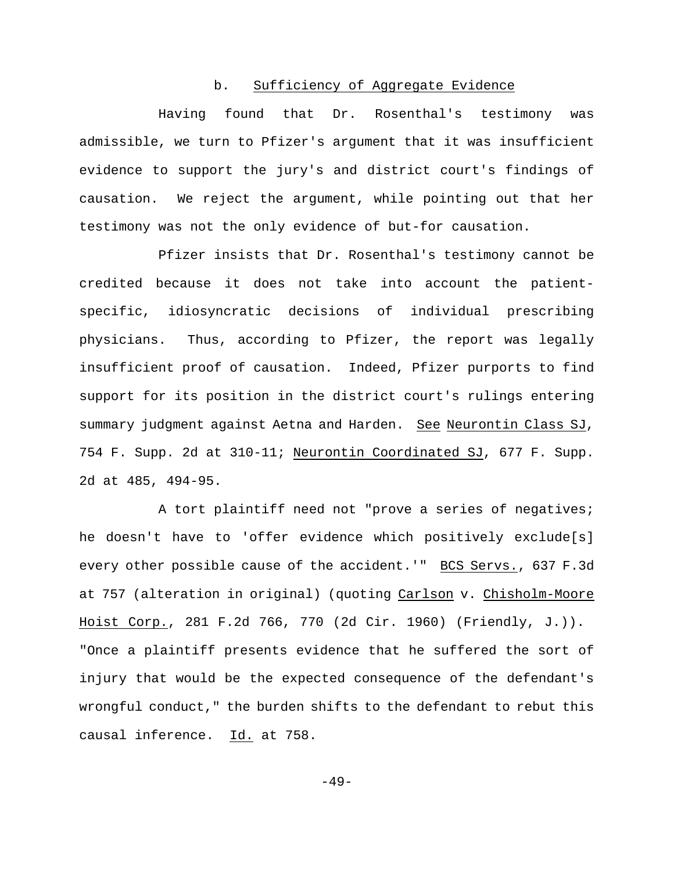# b. Sufficiency of Aggregate Evidence

Having found that Dr. Rosenthal's testimony was admissible, we turn to Pfizer's argument that it was insufficient evidence to support the jury's and district court's findings of causation. We reject the argument, while pointing out that her testimony was not the only evidence of but-for causation.

Pfizer insists that Dr. Rosenthal's testimony cannot be credited because it does not take into account the patientspecific, idiosyncratic decisions of individual prescribing physicians. Thus, according to Pfizer, the report was legally insufficient proof of causation. Indeed, Pfizer purports to find support for its position in the district court's rulings entering summary judgment against Aetna and Harden. See Neurontin Class SJ, 754 F. Supp. 2d at 310-11; Neurontin Coordinated SJ, 677 F. Supp. 2d at 485, 494-95.

A tort plaintiff need not "prove a series of negatives; he doesn't have to 'offer evidence which positively exclude[s] every other possible cause of the accident.'" BCS Servs., 637 F.3d at 757 (alteration in original) (quoting Carlson v. Chisholm-Moore Hoist Corp., 281 F.2d 766, 770 (2d Cir. 1960) (Friendly, J.)). "Once a plaintiff presents evidence that he suffered the sort of injury that would be the expected consequence of the defendant's wrongful conduct," the burden shifts to the defendant to rebut this causal inference. Id. at 758.

 $-49-$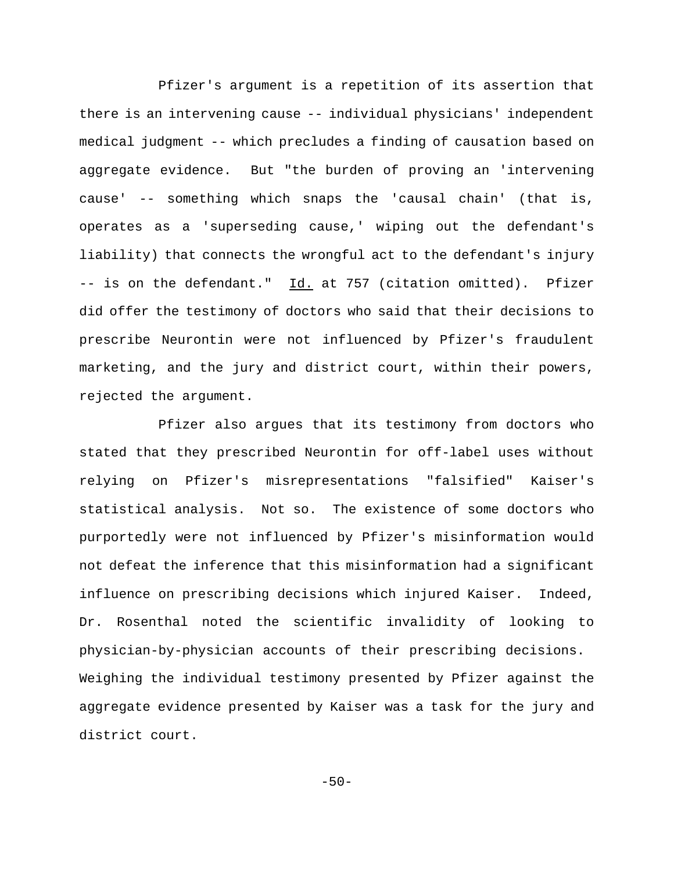Pfizer's argument is a repetition of its assertion that there is an intervening cause -- individual physicians' independent medical judgment -- which precludes a finding of causation based on aggregate evidence. But "the burden of proving an 'intervening cause' -- something which snaps the 'causal chain' (that is, operates as a 'superseding cause,' wiping out the defendant's liability) that connects the wrongful act to the defendant's injury -- is on the defendant." Id. at 757 (citation omitted). Pfizer did offer the testimony of doctors who said that their decisions to prescribe Neurontin were not influenced by Pfizer's fraudulent marketing, and the jury and district court, within their powers, rejected the argument.

Pfizer also argues that its testimony from doctors who stated that they prescribed Neurontin for off-label uses without relying on Pfizer's misrepresentations "falsified" Kaiser's statistical analysis. Not so. The existence of some doctors who purportedly were not influenced by Pfizer's misinformation would not defeat the inference that this misinformation had a significant influence on prescribing decisions which injured Kaiser. Indeed, Dr. Rosenthal noted the scientific invalidity of looking to physician-by-physician accounts of their prescribing decisions. Weighing the individual testimony presented by Pfizer against the aggregate evidence presented by Kaiser was a task for the jury and district court.

 $-50-$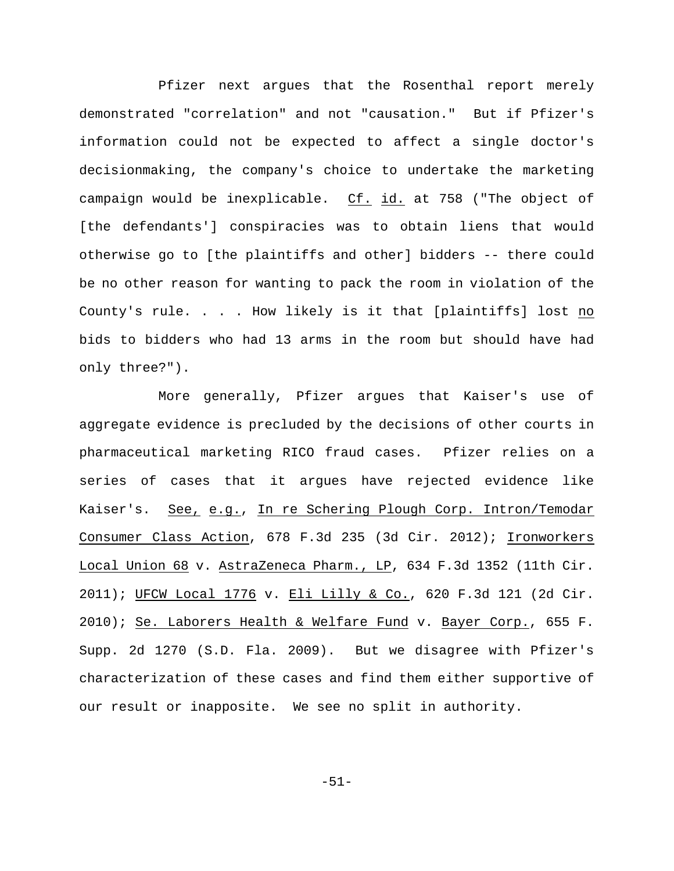Pfizer next argues that the Rosenthal report merely demonstrated "correlation" and not "causation." But if Pfizer's information could not be expected to affect a single doctor's decisionmaking, the company's choice to undertake the marketing campaign would be inexplicable. Cf. id. at 758 ("The object of [the defendants'] conspiracies was to obtain liens that would otherwise go to [the plaintiffs and other] bidders -- there could be no other reason for wanting to pack the room in violation of the County's rule. . . . How likely is it that [plaintiffs] lost no bids to bidders who had 13 arms in the room but should have had only three?").

More generally, Pfizer argues that Kaiser's use of aggregate evidence is precluded by the decisions of other courts in pharmaceutical marketing RICO fraud cases. Pfizer relies on a series of cases that it argues have rejected evidence like Kaiser's. See, e.g., In re Schering Plough Corp. Intron/Temodar Consumer Class Action, 678 F.3d 235 (3d Cir. 2012); Ironworkers Local Union 68 v. AstraZeneca Pharm., LP, 634 F.3d 1352 (11th Cir. 2011); UFCW Local 1776 v. Eli Lilly & Co., 620 F.3d 121 (2d Cir. 2010); Se. Laborers Health & Welfare Fund v. Bayer Corp., 655 F. Supp. 2d 1270 (S.D. Fla. 2009). But we disagree with Pfizer's characterization of these cases and find them either supportive of our result or inapposite. We see no split in authority.

-51-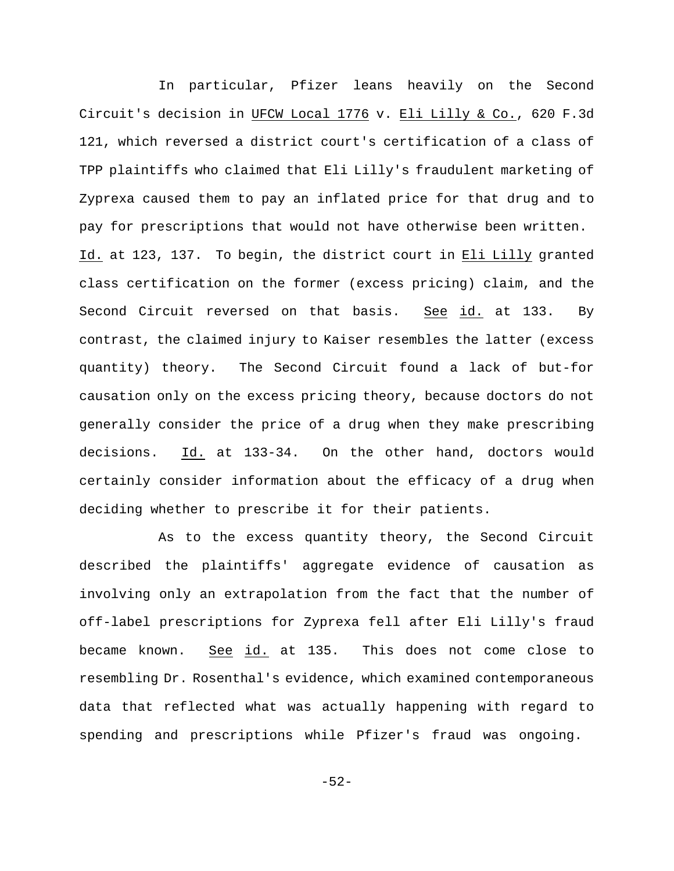In particular, Pfizer leans heavily on the Second Circuit's decision in UFCW Local 1776 v. Eli Lilly & Co., 620 F.3d 121, which reversed a district court's certification of a class of TPP plaintiffs who claimed that Eli Lilly's fraudulent marketing of Zyprexa caused them to pay an inflated price for that drug and to pay for prescriptions that would not have otherwise been written. Id. at 123, 137. To begin, the district court in Eli Lilly granted class certification on the former (excess pricing) claim, and the Second Circuit reversed on that basis. See id. at 133. By contrast, the claimed injury to Kaiser resembles the latter (excess quantity) theory. The Second Circuit found a lack of but-for causation only on the excess pricing theory, because doctors do not generally consider the price of a drug when they make prescribing decisions. Id. at 133-34. On the other hand, doctors would certainly consider information about the efficacy of a drug when deciding whether to prescribe it for their patients.

As to the excess quantity theory, the Second Circuit described the plaintiffs' aggregate evidence of causation as involving only an extrapolation from the fact that the number of off-label prescriptions for Zyprexa fell after Eli Lilly's fraud became known. See id. at 135. This does not come close to resembling Dr. Rosenthal's evidence, which examined contemporaneous data that reflected what was actually happening with regard to spending and prescriptions while Pfizer's fraud was ongoing.

-52-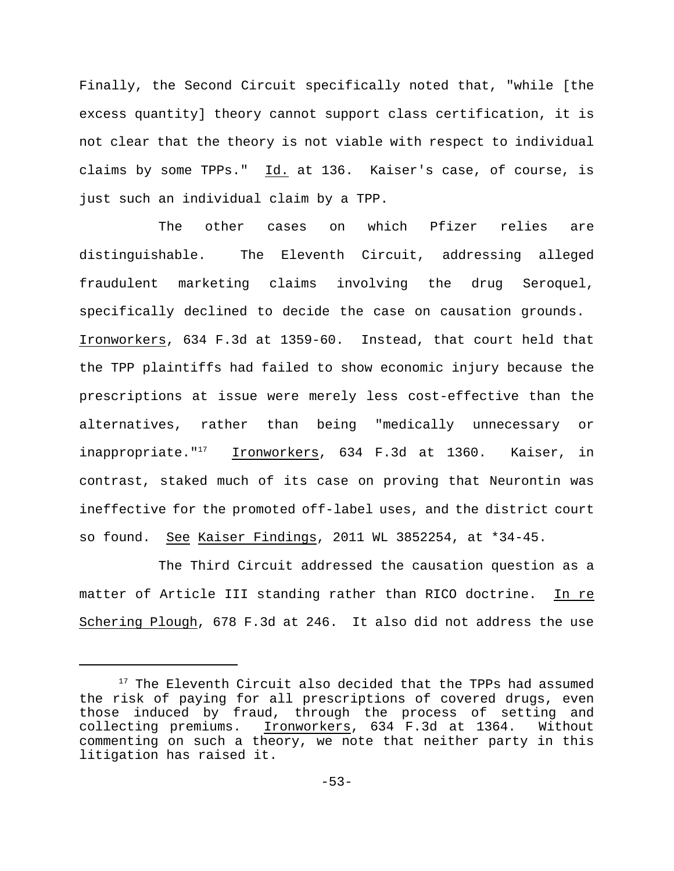Finally, the Second Circuit specifically noted that, "while [the excess quantity] theory cannot support class certification, it is not clear that the theory is not viable with respect to individual claims by some TPPs."  $Id.$  at 136. Kaiser's case, of course, is just such an individual claim by a TPP.

The other cases on which Pfizer relies are distinguishable. The Eleventh Circuit, addressing alleged fraudulent marketing claims involving the drug Seroquel, specifically declined to decide the case on causation grounds. Ironworkers, 634 F.3d at 1359-60. Instead, that court held that the TPP plaintiffs had failed to show economic injury because the prescriptions at issue were merely less cost-effective than the alternatives, rather than being "medically unnecessary or inappropriate."<sup>17</sup> Ironworkers, 634 F.3d at 1360. Kaiser, in contrast, staked much of its case on proving that Neurontin was ineffective for the promoted off-label uses, and the district court so found. See Kaiser Findings, 2011 WL 3852254, at \*34-45.

The Third Circuit addressed the causation question as a matter of Article III standing rather than RICO doctrine. In re Schering Plough, 678 F.3d at 246. It also did not address the use

 $17$  The Eleventh Circuit also decided that the TPPs had assumed the risk of paying for all prescriptions of covered drugs, even those induced by fraud, through the process of setting and collecting premiums. Ironworkers, 634 F.3d at 1364. Without commenting on such a theory, we note that neither party in this litigation has raised it.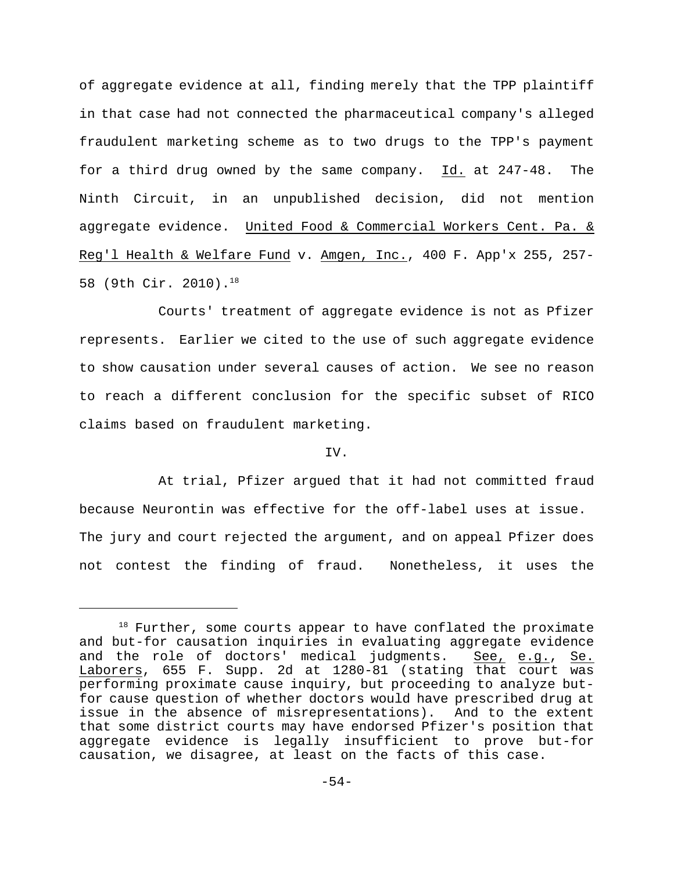of aggregate evidence at all, finding merely that the TPP plaintiff in that case had not connected the pharmaceutical company's alleged fraudulent marketing scheme as to two drugs to the TPP's payment for a third drug owned by the same company. Id. at 247-48. The Ninth Circuit, in an unpublished decision, did not mention aggregate evidence. United Food & Commercial Workers Cent. Pa. & Reg'l Health & Welfare Fund v. Amgen, Inc., 400 F. App'x 255, 257-58 (9th Cir. 2010).<sup>18</sup>

Courts' treatment of aggregate evidence is not as Pfizer represents. Earlier we cited to the use of such aggregate evidence to show causation under several causes of action. We see no reason to reach a different conclusion for the specific subset of RICO claims based on fraudulent marketing.

# IV.

At trial, Pfizer argued that it had not committed fraud because Neurontin was effective for the off-label uses at issue. The jury and court rejected the argument, and on appeal Pfizer does not contest the finding of fraud. Nonetheless, it uses the

 $18$  Further, some courts appear to have conflated the proximate and but-for causation inquiries in evaluating aggregate evidence and the role of doctors' medical judgments. See, e.g., Se. Laborers, 655 F. Supp. 2d at 1280-81 (stating that court was performing proximate cause inquiry, but proceeding to analyze butfor cause question of whether doctors would have prescribed drug at issue in the absence of misrepresentations). And to the extent that some district courts may have endorsed Pfizer's position that aggregate evidence is legally insufficient to prove but-for causation, we disagree, at least on the facts of this case.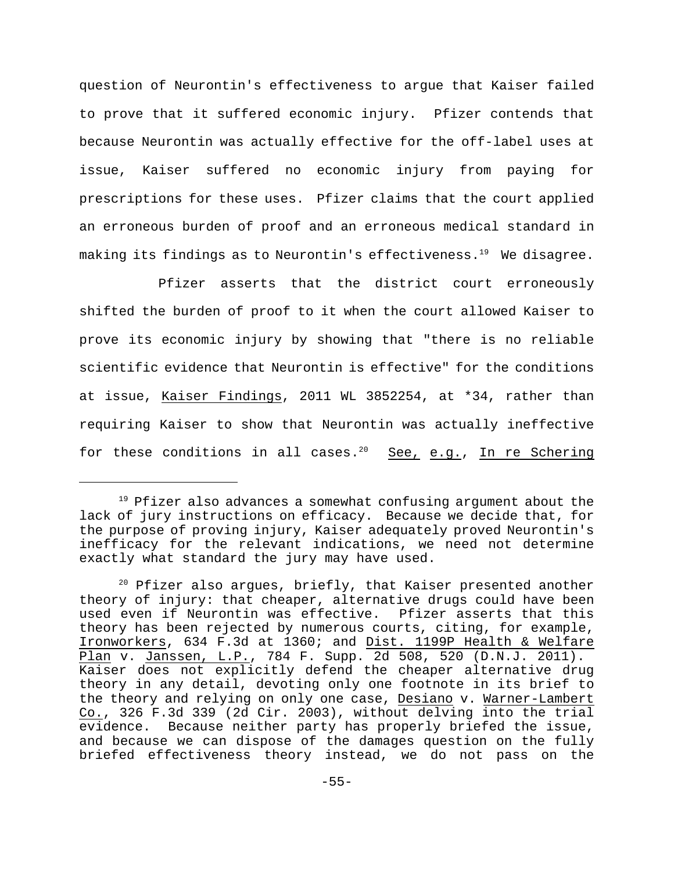question of Neurontin's effectiveness to argue that Kaiser failed to prove that it suffered economic injury. Pfizer contends that because Neurontin was actually effective for the off-label uses at issue, Kaiser suffered no economic injury from paying for prescriptions for these uses. Pfizer claims that the court applied an erroneous burden of proof and an erroneous medical standard in making its findings as to Neurontin's effectiveness.<sup>19</sup> We disagree.

Pfizer asserts that the district court erroneously shifted the burden of proof to it when the court allowed Kaiser to prove its economic injury by showing that "there is no reliable scientific evidence that Neurontin is effective" for the conditions at issue, Kaiser Findings, 2011 WL 3852254, at \*34, rather than requiring Kaiser to show that Neurontin was actually ineffective for these conditions in all cases.<sup>20</sup> See, e.g., In re Schering

 $19$  Pfizer also advances a somewhat confusing argument about the lack of jury instructions on efficacy. Because we decide that, for the purpose of proving injury, Kaiser adequately proved Neurontin's inefficacy for the relevant indications, we need not determine exactly what standard the jury may have used.

 $20$  Pfizer also argues, briefly, that Kaiser presented another theory of injury: that cheaper, alternative drugs could have been used even if Neurontin was effective. Pfizer asserts that this theory has been rejected by numerous courts, citing, for example, Ironworkers, 634 F.3d at 1360; and Dist. 1199P Health & Welfare Plan v. Janssen, L.P., 784 F. Supp. 2d 508, 520 (D.N.J. 2011). Kaiser does not explicitly defend the cheaper alternative drug theory in any detail, devoting only one footnote in its brief to the theory and relying on only one case, Desiano v. Warner-Lambert Co., 326 F.3d 339 (2d Cir. 2003), without delving into the trial evidence. Because neither party has properly briefed the issue, and because we can dispose of the damages question on the fully briefed effectiveness theory instead, we do not pass on the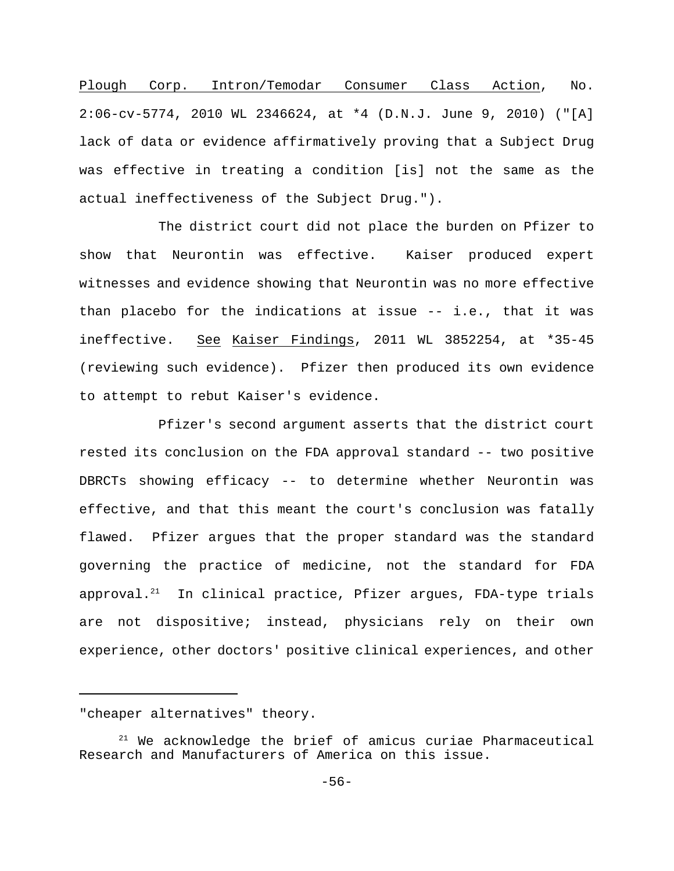Plough Corp. Intron/Temodar Consumer Class Action, No. 2:06-cv-5774, 2010 WL 2346624, at \*4 (D.N.J. June 9, 2010) ("[A] lack of data or evidence affirmatively proving that a Subject Drug was effective in treating a condition [is] not the same as the actual ineffectiveness of the Subject Drug.").

The district court did not place the burden on Pfizer to show that Neurontin was effective. Kaiser produced expert witnesses and evidence showing that Neurontin was no more effective than placebo for the indications at issue -- i.e., that it was ineffective. See Kaiser Findings, 2011 WL 3852254, at \*35-45 (reviewing such evidence). Pfizer then produced its own evidence to attempt to rebut Kaiser's evidence.

Pfizer's second argument asserts that the district court rested its conclusion on the FDA approval standard -- two positive DBRCTs showing efficacy -- to determine whether Neurontin was effective, and that this meant the court's conclusion was fatally flawed. Pfizer argues that the proper standard was the standard governing the practice of medicine, not the standard for FDA approval.<sup>21</sup> In clinical practice, Pfizer argues, FDA-type trials are not dispositive; instead, physicians rely on their own experience, other doctors' positive clinical experiences, and other

<sup>&</sup>quot;cheaper alternatives" theory.

 $21$  We acknowledge the brief of amicus curiae Pharmaceutical Research and Manufacturers of America on this issue.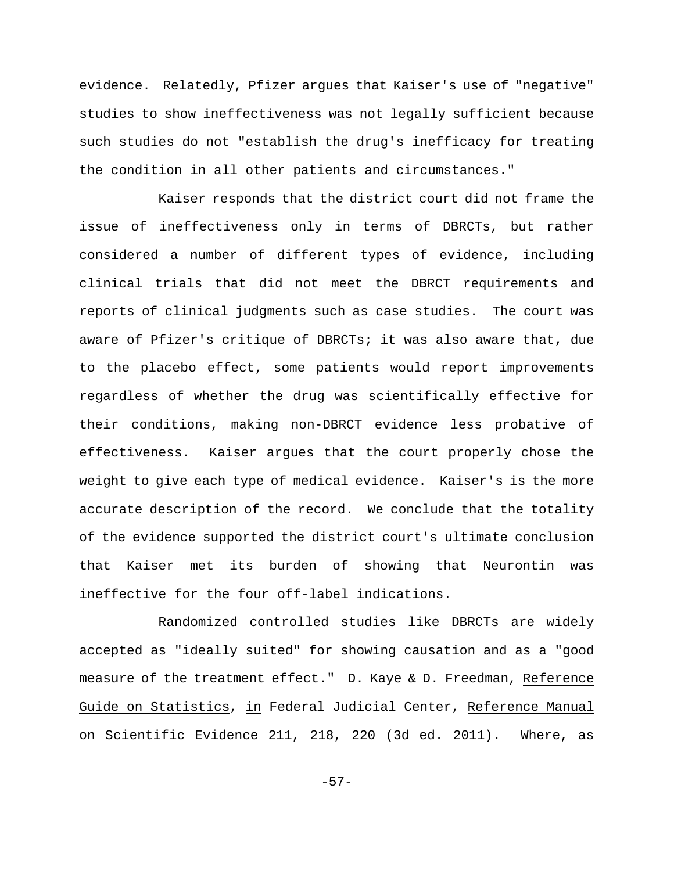evidence. Relatedly, Pfizer argues that Kaiser's use of "negative" studies to show ineffectiveness was not legally sufficient because such studies do not "establish the drug's inefficacy for treating the condition in all other patients and circumstances."

Kaiser responds that the district court did not frame the issue of ineffectiveness only in terms of DBRCTs, but rather considered a number of different types of evidence, including clinical trials that did not meet the DBRCT requirements and reports of clinical judgments such as case studies. The court was aware of Pfizer's critique of DBRCTs; it was also aware that, due to the placebo effect, some patients would report improvements regardless of whether the drug was scientifically effective for their conditions, making non-DBRCT evidence less probative of effectiveness. Kaiser argues that the court properly chose the weight to give each type of medical evidence. Kaiser's is the more accurate description of the record. We conclude that the totality of the evidence supported the district court's ultimate conclusion that Kaiser met its burden of showing that Neurontin was ineffective for the four off-label indications.

Randomized controlled studies like DBRCTs are widely accepted as "ideally suited" for showing causation and as a "good measure of the treatment effect." D. Kaye & D. Freedman, Reference Guide on Statistics, in Federal Judicial Center, Reference Manual on Scientific Evidence 211, 218, 220 (3d ed. 2011). Where, as

-57-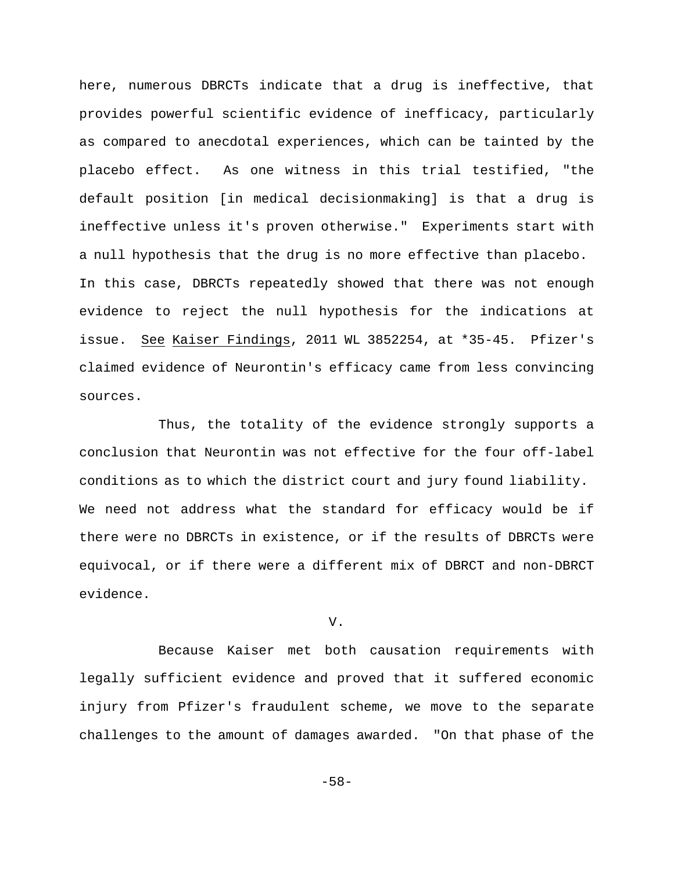here, numerous DBRCTs indicate that a drug is ineffective, that provides powerful scientific evidence of inefficacy, particularly as compared to anecdotal experiences, which can be tainted by the placebo effect. As one witness in this trial testified, "the default position [in medical decisionmaking] is that a drug is ineffective unless it's proven otherwise." Experiments start with a null hypothesis that the drug is no more effective than placebo. In this case, DBRCTs repeatedly showed that there was not enough evidence to reject the null hypothesis for the indications at issue. See Kaiser Findings, 2011 WL 3852254, at \*35-45. Pfizer's claimed evidence of Neurontin's efficacy came from less convincing sources.

Thus, the totality of the evidence strongly supports a conclusion that Neurontin was not effective for the four off-label conditions as to which the district court and jury found liability. We need not address what the standard for efficacy would be if there were no DBRCTs in existence, or if the results of DBRCTs were equivocal, or if there were a different mix of DBRCT and non-DBRCT evidence.

V.

Because Kaiser met both causation requirements with legally sufficient evidence and proved that it suffered economic injury from Pfizer's fraudulent scheme, we move to the separate challenges to the amount of damages awarded. "On that phase of the

-58-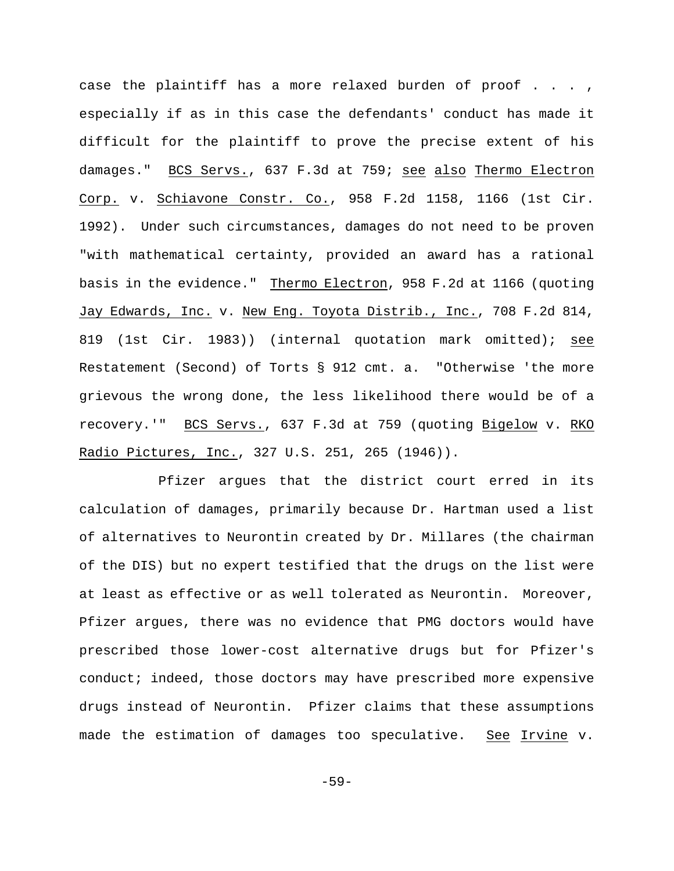case the plaintiff has a more relaxed burden of proof . . . , especially if as in this case the defendants' conduct has made it difficult for the plaintiff to prove the precise extent of his damages." BCS Servs., 637 F.3d at 759; see also Thermo Electron Corp. v. Schiavone Constr. Co., 958 F.2d 1158, 1166 (1st Cir. 1992). Under such circumstances, damages do not need to be proven "with mathematical certainty, provided an award has a rational basis in the evidence." Thermo Electron, 958 F.2d at 1166 (quoting Jay Edwards, Inc. v. New Eng. Toyota Distrib., Inc., 708 F.2d 814, 819 (1st Cir. 1983)) (internal quotation mark omitted); see Restatement (Second) of Torts § 912 cmt. a. "Otherwise 'the more grievous the wrong done, the less likelihood there would be of a recovery.'" BCS Servs., 637 F.3d at 759 (quoting Bigelow v. RKO Radio Pictures, Inc., 327 U.S. 251, 265 (1946)).

Pfizer argues that the district court erred in its calculation of damages, primarily because Dr. Hartman used a list of alternatives to Neurontin created by Dr. Millares (the chairman of the DIS) but no expert testified that the drugs on the list were at least as effective or as well tolerated as Neurontin. Moreover, Pfizer argues, there was no evidence that PMG doctors would have prescribed those lower-cost alternative drugs but for Pfizer's conduct; indeed, those doctors may have prescribed more expensive drugs instead of Neurontin. Pfizer claims that these assumptions made the estimation of damages too speculative. See Irvine v.

-59-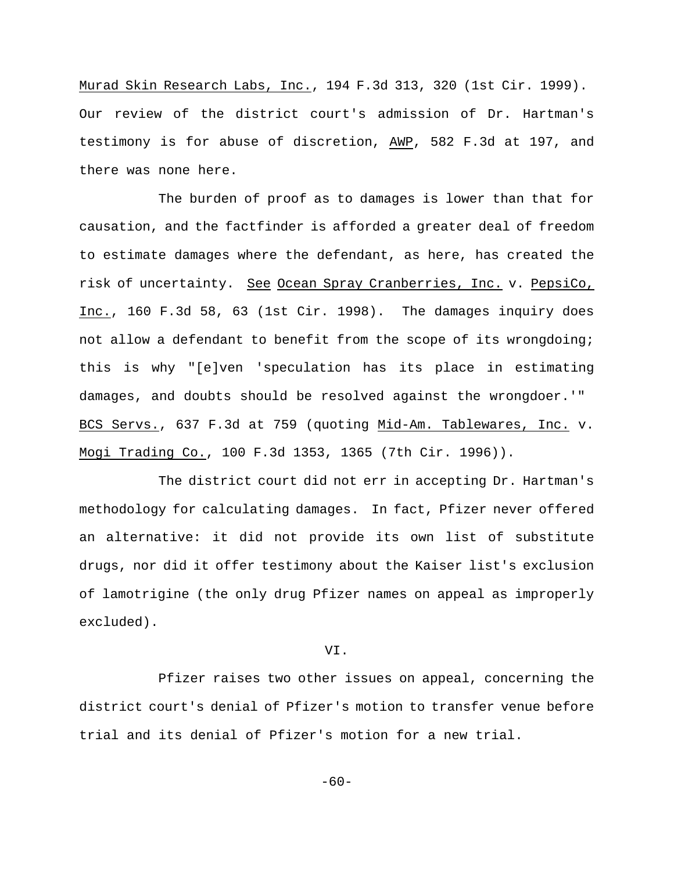Murad Skin Research Labs, Inc., 194 F.3d 313, 320 (1st Cir. 1999). Our review of the district court's admission of Dr. Hartman's testimony is for abuse of discretion, AWP, 582 F.3d at 197, and there was none here.

The burden of proof as to damages is lower than that for causation, and the factfinder is afforded a greater deal of freedom to estimate damages where the defendant, as here, has created the risk of uncertainty. See Ocean Spray Cranberries, Inc. v. PepsiCo, Inc., 160 F.3d 58, 63 (1st Cir. 1998). The damages inquiry does not allow a defendant to benefit from the scope of its wrongdoing; this is why "[e]ven 'speculation has its place in estimating damages, and doubts should be resolved against the wrongdoer.'" BCS Servs., 637 F.3d at 759 (quoting Mid-Am. Tablewares, Inc. v. Mogi Trading Co., 100 F.3d 1353, 1365 (7th Cir. 1996)).

The district court did not err in accepting Dr. Hartman's methodology for calculating damages. In fact, Pfizer never offered an alternative: it did not provide its own list of substitute drugs, nor did it offer testimony about the Kaiser list's exclusion of lamotrigine (the only drug Pfizer names on appeal as improperly excluded).

VI.

Pfizer raises two other issues on appeal, concerning the district court's denial of Pfizer's motion to transfer venue before trial and its denial of Pfizer's motion for a new trial.

 $-60-$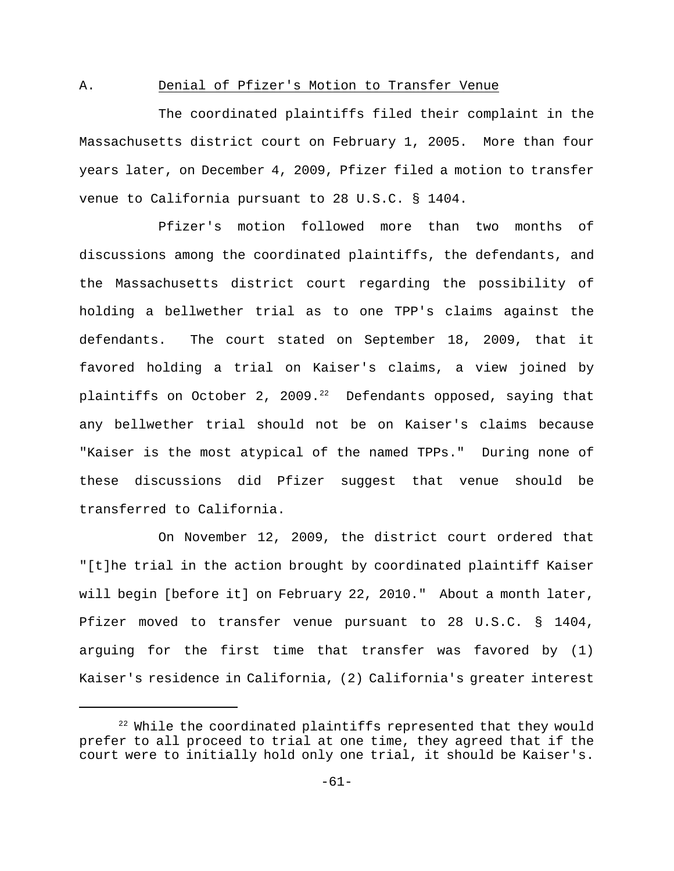# A. Denial of Pfizer's Motion to Transfer Venue

The coordinated plaintiffs filed their complaint in the Massachusetts district court on February 1, 2005. More than four years later, on December 4, 2009, Pfizer filed a motion to transfer venue to California pursuant to 28 U.S.C. § 1404.

Pfizer's motion followed more than two months of discussions among the coordinated plaintiffs, the defendants, and the Massachusetts district court regarding the possibility of holding a bellwether trial as to one TPP's claims against the defendants. The court stated on September 18, 2009, that it favored holding a trial on Kaiser's claims, a view joined by plaintiffs on October 2, 2009.<sup>22</sup> Defendants opposed, saying that any bellwether trial should not be on Kaiser's claims because "Kaiser is the most atypical of the named TPPs." During none of these discussions did Pfizer suggest that venue should be transferred to California.

On November 12, 2009, the district court ordered that "[t]he trial in the action brought by coordinated plaintiff Kaiser will begin [before it] on February 22, 2010." About a month later, Pfizer moved to transfer venue pursuant to 28 U.S.C. § 1404, arguing for the first time that transfer was favored by (1) Kaiser's residence in California, (2) California's greater interest

 $22$  While the coordinated plaintiffs represented that they would prefer to all proceed to trial at one time, they agreed that if the court were to initially hold only one trial, it should be Kaiser's.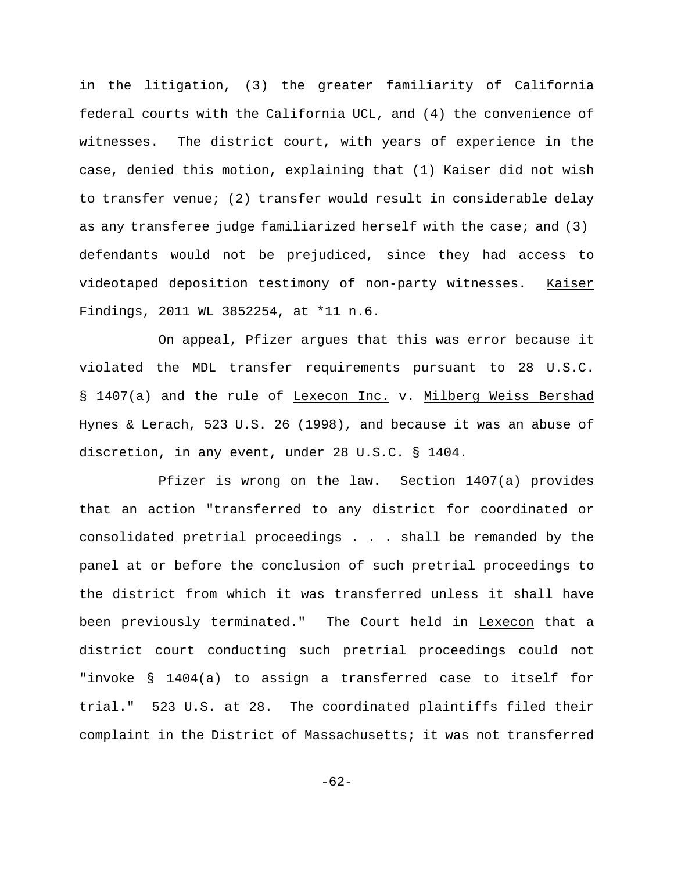in the litigation, (3) the greater familiarity of California federal courts with the California UCL, and (4) the convenience of witnesses. The district court, with years of experience in the case, denied this motion, explaining that (1) Kaiser did not wish to transfer venue; (2) transfer would result in considerable delay as any transferee judge familiarized herself with the case; and (3) defendants would not be prejudiced, since they had access to videotaped deposition testimony of non-party witnesses. Kaiser Findings, 2011 WL 3852254, at \*11 n.6.

On appeal, Pfizer argues that this was error because it violated the MDL transfer requirements pursuant to 28 U.S.C. § 1407(a) and the rule of Lexecon Inc. v. Milberg Weiss Bershad Hynes & Lerach, 523 U.S. 26 (1998), and because it was an abuse of discretion, in any event, under 28 U.S.C. § 1404.

Pfizer is wrong on the law. Section 1407(a) provides that an action "transferred to any district for coordinated or consolidated pretrial proceedings . . . shall be remanded by the panel at or before the conclusion of such pretrial proceedings to the district from which it was transferred unless it shall have been previously terminated." The Court held in Lexecon that a district court conducting such pretrial proceedings could not "invoke § 1404(a) to assign a transferred case to itself for trial." 523 U.S. at 28. The coordinated plaintiffs filed their complaint in the District of Massachusetts; it was not transferred

-62-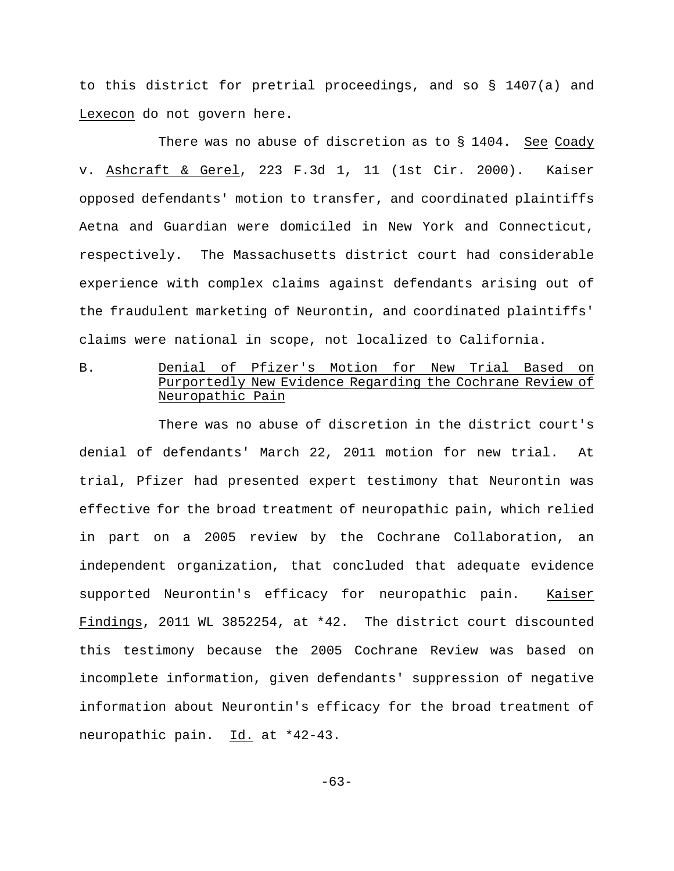to this district for pretrial proceedings, and so § 1407(a) and Lexecon do not govern here.

There was no abuse of discretion as to § 1404. See Coady v. Ashcraft & Gerel, 223 F.3d 1, 11 (1st Cir. 2000). Kaiser opposed defendants' motion to transfer, and coordinated plaintiffs Aetna and Guardian were domiciled in New York and Connecticut, respectively. The Massachusetts district court had considerable experience with complex claims against defendants arising out of the fraudulent marketing of Neurontin, and coordinated plaintiffs' claims were national in scope, not localized to California.

B. Senial of Pfizer's Motion for New Trial Based Purportedly New Evidence Regarding the Cochrane Review of Neuropathic Pain

There was no abuse of discretion in the district court's denial of defendants' March 22, 2011 motion for new trial. At trial, Pfizer had presented expert testimony that Neurontin was effective for the broad treatment of neuropathic pain, which relied in part on a 2005 review by the Cochrane Collaboration, an independent organization, that concluded that adequate evidence supported Neurontin's efficacy for neuropathic pain. Kaiser Findings, 2011 WL 3852254, at \*42. The district court discounted this testimony because the 2005 Cochrane Review was based on incomplete information, given defendants' suppression of negative information about Neurontin's efficacy for the broad treatment of neuropathic pain. Id. at \*42-43.

-63-